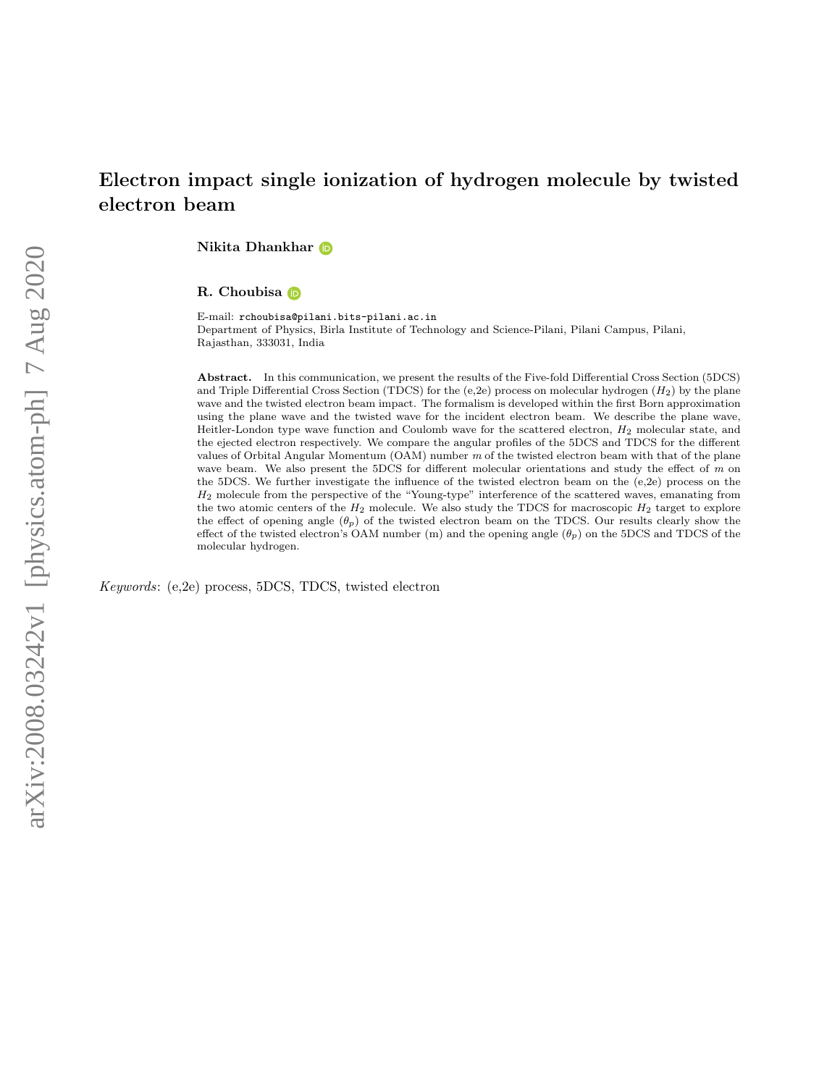# Electron impact single ionization of hydrogen molecule by twisted electron beam

Nikita Dhankhar

R. Choubisa

E-mail: rchoubisa@pilani.bits-pilani.ac.in Department of Physics, Birla Institute of Technology and Science-Pilani, Pilani Campus, Pilani, Rajasthan, 333031, India

Abstract. In this communication, we present the results of the Five-fold Differential Cross Section (5DCS) and Triple Differential Cross Section (TDCS) for the  $(e,2e)$  process on molecular hydrogen  $(H_2)$  by the plane wave and the twisted electron beam impact. The formalism is developed within the first Born approximation using the plane wave and the twisted wave for the incident electron beam. We describe the plane wave, Heitler-London type wave function and Coulomb wave for the scattered electron, H<sup>2</sup> molecular state, and the ejected electron respectively. We compare the angular profiles of the 5DCS and TDCS for the different values of Orbital Angular Momentum (OAM) number m of the twisted electron beam with that of the plane wave beam. We also present the 5DCS for different molecular orientations and study the effect of  $m$  on the 5DCS. We further investigate the influence of the twisted electron beam on the (e,2e) process on the  $H_2$  molecule from the perspective of the "Young-type" interference of the scattered waves, emanating from the two atomic centers of the  $H_2$  molecule. We also study the TDCS for macroscopic  $H_2$  target to explore the effect of opening angle  $(\theta_p)$  of the twisted electron beam on the TDCS. Our results clearly show the effect of the twisted electron's OAM number (m) and the opening angle  $(\theta_p)$  on the 5DCS and TDCS of the molecular hydrogen.

Keywords: (e,2e) process, 5DCS, TDCS, twisted electron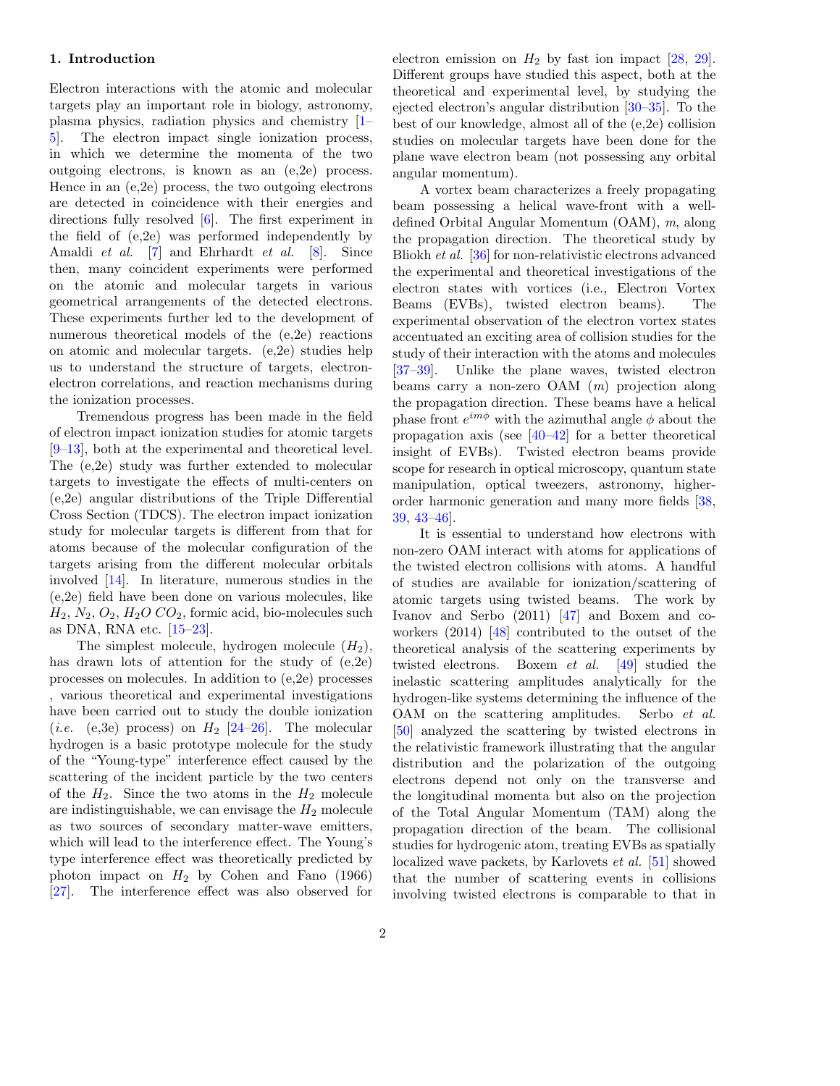### 1. Introduction

Electron interactions with the atomic and molecular targets play an important role in biology, astronomy, plasma physics, radiation physics and chemistry [\[1–](#page-15-0) [5\]](#page-15-1). The electron impact single ionization process, in which we determine the momenta of the two outgoing electrons, is known as an (e,2e) process. Hence in an (e,2e) process, the two outgoing electrons are detected in coincidence with their energies and directions fully resolved [\[6\]](#page-15-2). The first experiment in the field of (e,2e) was performed independently by Amaldi et al. [\[7\]](#page-15-3) and Ehrhardt et al. [\[8\]](#page-15-4). Since then, many coincident experiments were performed on the atomic and molecular targets in various geometrical arrangements of the detected electrons. These experiments further led to the development of numerous theoretical models of the (e,2e) reactions on atomic and molecular targets. (e,2e) studies help us to understand the structure of targets, electronelectron correlations, and reaction mechanisms during the ionization processes.

Tremendous progress has been made in the field of electron impact ionization studies for atomic targets [\[9–](#page-15-5)[13\]](#page-15-6), both at the experimental and theoretical level. The (e,2e) study was further extended to molecular targets to investigate the effects of multi-centers on (e,2e) angular distributions of the Triple Differential Cross Section (TDCS). The electron impact ionization study for molecular targets is different from that for atoms because of the molecular configuration of the targets arising from the different molecular orbitals involved [\[14\]](#page-15-7). In literature, numerous studies in the (e,2e) field have been done on various molecules, like  $H_2$ ,  $N_2$ ,  $O_2$ ,  $H_2O$   $CO_2$ , formic acid, bio-molecules such as DNA, RNA etc. [\[15](#page-15-8)[–23\]](#page-15-9).

The simplest molecule, hydrogen molecule  $(H_2)$ , has drawn lots of attention for the study of (e,2e) processes on molecules. In addition to (e,2e) processes , various theoretical and experimental investigations have been carried out to study the double ionization (*i.e.* (e,3e) process) on  $H_2$  [\[24–](#page-15-10)[26\]](#page-15-11). The molecular hydrogen is a basic prototype molecule for the study of the "Young-type" interference effect caused by the scattering of the incident particle by the two centers of the  $H_2$ . Since the two atoms in the  $H_2$  molecule are indistinguishable, we can envisage the  $H_2$  molecule as two sources of secondary matter-wave emitters, which will lead to the interference effect. The Young's type interference effect was theoretically predicted by photon impact on  $H_2$  by Cohen and Fano (1966) [\[27\]](#page-15-12). The interference effect was also observed for electron emission on  $H_2$  by fast ion impact [\[28,](#page-16-0) [29\]](#page-16-1). Different groups have studied this aspect, both at the theoretical and experimental level, by studying the ejected electron's angular distribution [\[30–](#page-16-2)[35\]](#page-16-3). To the best of our knowledge, almost all of the (e,2e) collision studies on molecular targets have been done for the plane wave electron beam (not possessing any orbital angular momentum).

A vortex beam characterizes a freely propagating beam possessing a helical wave-front with a welldefined Orbital Angular Momentum (OAM), m, along the propagation direction. The theoretical study by Bliokh et al. [\[36\]](#page-16-4) for non-relativistic electrons advanced the experimental and theoretical investigations of the electron states with vortices (i.e., Electron Vortex Beams (EVBs), twisted electron beams). The experimental observation of the electron vortex states accentuated an exciting area of collision studies for the study of their interaction with the atoms and molecules [\[37–](#page-16-5)[39\]](#page-16-6). Unlike the plane waves, twisted electron beams carry a non-zero OAM (m) projection along the propagation direction. These beams have a helical phase front  $e^{im\phi}$  with the azimuthal angle  $\phi$  about the propagation axis (see [\[40–](#page-16-7)[42\]](#page-16-8) for a better theoretical insight of EVBs). Twisted electron beams provide scope for research in optical microscopy, quantum state manipulation, optical tweezers, astronomy, higherorder harmonic generation and many more fields [\[38,](#page-16-9) [39,](#page-16-6) [43](#page-16-10)[–46\]](#page-16-11).

It is essential to understand how electrons with non-zero OAM interact with atoms for applications of the twisted electron collisions with atoms. A handful of studies are available for ionization/scattering of atomic targets using twisted beams. The work by Ivanov and Serbo (2011) [\[47\]](#page-16-12) and Boxem and coworkers (2014) [\[48\]](#page-16-13) contributed to the outset of the theoretical analysis of the scattering experiments by twisted electrons. Boxem et al. [\[49\]](#page-16-14) studied the inelastic scattering amplitudes analytically for the hydrogen-like systems determining the influence of the OAM on the scattering amplitudes. Serbo et al. [\[50\]](#page-16-15) analyzed the scattering by twisted electrons in the relativistic framework illustrating that the angular distribution and the polarization of the outgoing electrons depend not only on the transverse and the longitudinal momenta but also on the projection of the Total Angular Momentum (TAM) along the propagation direction of the beam. The collisional studies for hydrogenic atom, treating EVBs as spatially localized wave packets, by Karlovets et al. [\[51\]](#page-16-16) showed that the number of scattering events in collisions involving twisted electrons is comparable to that in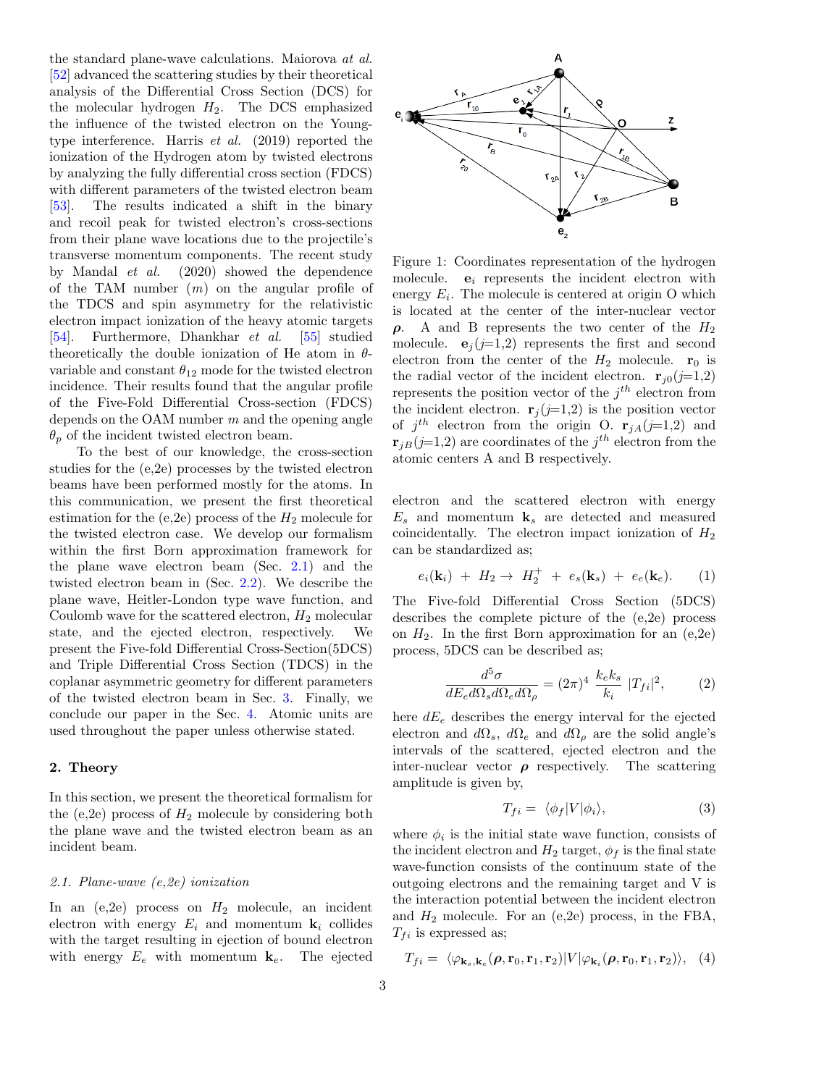the standard plane-wave calculations. Maiorova at al. [\[52\]](#page-16-17) advanced the scattering studies by their theoretical analysis of the Differential Cross Section (DCS) for the molecular hydrogen  $H_2$ . The DCS emphasized the influence of the twisted electron on the Youngtype interference. Harris et al. (2019) reported the ionization of the Hydrogen atom by twisted electrons by analyzing the fully differential cross section (FDCS) with different parameters of the twisted electron beam [\[53\]](#page-16-18). The results indicated a shift in the binary and recoil peak for twisted electron's cross-sections from their plane wave locations due to the projectile's transverse momentum components. The recent study by Mandal et al. (2020) showed the dependence of the TAM number  $(m)$  on the angular profile of the TDCS and spin asymmetry for the relativistic electron impact ionization of the heavy atomic targets [\[54\]](#page-16-19). Furthermore, Dhankhar et al. [\[55\]](#page-16-20) studied theoretically the double ionization of He atom in  $\theta$ variable and constant  $\theta_{12}$  mode for the twisted electron incidence. Their results found that the angular profile of the Five-Fold Differential Cross-section (FDCS) depends on the OAM number  $m$  and the opening angle  $\theta_p$  of the incident twisted electron beam.

To the best of our knowledge, the cross-section studies for the (e,2e) processes by the twisted electron beams have been performed mostly for the atoms. In this communication, we present the first theoretical estimation for the (e,2e) process of the  $H_2$  molecule for the twisted electron case. We develop our formalism within the first Born approximation framework for the plane wave electron beam (Sec. [2.1\)](#page-2-0) and the twisted electron beam in (Sec. [2.2\)](#page-4-0). We describe the plane wave, Heitler-London type wave function, and Coulomb wave for the scattered electron,  $H_2$  molecular state, and the ejected electron, respectively. We present the Five-fold Differential Cross-Section(5DCS) and Triple Differential Cross Section (TDCS) in the coplanar asymmetric geometry for different parameters of the twisted electron beam in Sec. [3.](#page-6-0) Finally, we conclude our paper in the Sec. [4.](#page-14-0) Atomic units are used throughout the paper unless otherwise stated.

#### 2. Theory

In this section, we present the theoretical formalism for the (e,2e) process of  $H_2$  molecule by considering both the plane wave and the twisted electron beam as an incident beam.

### <span id="page-2-0"></span>2.1. Plane-wave (e,2e) ionization

In an  $(e,2e)$  process on  $H_2$  molecule, an incident electron with energy  $E_i$  and momentum  $\mathbf{k}_i$  collides with the target resulting in ejection of bound electron with energy  $E_e$  with momentum  $\mathbf{k}_e$ . The ejected

<span id="page-2-1"></span>

Figure 1: Coordinates representation of the hydrogen molecule.  $e_i$  represents the incident electron with energy  $E_i$ . The molecule is centered at origin O which is located at the center of the inter-nuclear vector  $ρ.$  A and B represents the two center of the  $H_2$ molecule.  $e_i (j=1,2)$  represents the first and second electron from the center of the  $H_2$  molecule.  $r_0$  is the radial vector of the incident electron.  $\mathbf{r}_{j0}(j=1,2)$ represents the position vector of the  $j<sup>th</sup>$  electron from the incident electron.  $\mathbf{r}_i (i=1,2)$  is the position vector of  $j^{th}$  electron from the origin O.  $\mathbf{r}_{jA}(j=1,2)$  and  $\mathbf{r}_{jB}(j=1,2)$  are coordinates of the  $j^{th}$  electron from the atomic centers A and B respectively.

electron and the scattered electron with energy  $E_s$  and momentum  $k_s$  are detected and measured coincidentally. The electron impact ionization of  $H_2$ can be standardized as;

$$
e_i(\mathbf{k}_i) + H_2 \to H_2^+ + e_s(\mathbf{k}_s) + e_e(\mathbf{k}_e). \tag{1}
$$

The Five-fold Differential Cross Section (5DCS) describes the complete picture of the (e,2e) process on  $H_2$ . In the first Born approximation for an  $(e,2e)$ process, 5DCS can be described as;

<span id="page-2-2"></span>
$$
\frac{d^5\sigma}{dE_e d\Omega_s d\Omega_e d\Omega_\rho} = (2\pi)^4 \frac{k_e k_s}{k_i} |T_{fi}|^2, \qquad (2)
$$

here  $dE_e$  describes the energy interval for the ejected electron and  $d\Omega_s$ ,  $d\Omega_e$  and  $d\Omega_\rho$  are the solid angle's intervals of the scattered, ejected electron and the inter-nuclear vector  $\rho$  respectively. The scattering amplitude is given by,

$$
T_{fi} = \langle \phi_f | V | \phi_i \rangle, \tag{3}
$$

where  $\phi_i$  is the initial state wave function, consists of the incident electron and  $H_2$  target,  $\phi_f$  is the final state wave-function consists of the continuum state of the outgoing electrons and the remaining target and V is the interaction potential between the incident electron and  $H_2$  molecule. For an (e,2e) process, in the FBA,  $T_{fi}$  is expressed as;

<span id="page-2-3"></span>
$$
T_{fi} = \langle \varphi_{\mathbf{k}_s,\mathbf{k}_e}(\boldsymbol{\rho},\mathbf{r}_0,\mathbf{r}_1,\mathbf{r}_2) | V | \varphi_{\mathbf{k}_i}(\boldsymbol{\rho},\mathbf{r}_0,\mathbf{r}_1,\mathbf{r}_2) \rangle, \quad (4)
$$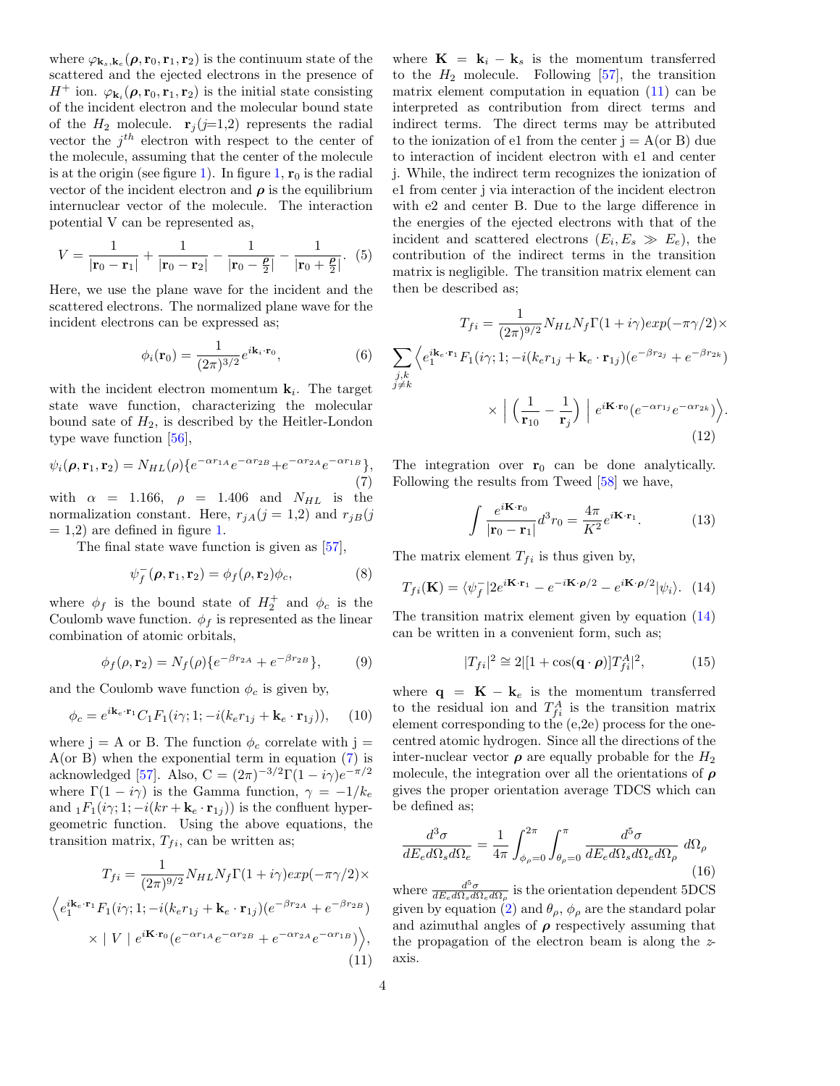where  $\varphi_{\mathbf{k}_s,\mathbf{k}_e}(\boldsymbol{\rho},\mathbf{r}_0,\mathbf{r}_1,\mathbf{r}_2)$  is the continuum state of the scattered and the ejected electrons in the presence of  $H^+$  ion.  $\varphi_{\mathbf{k}_i}(\boldsymbol{\rho}, \mathbf{r}_0, \mathbf{r}_1, \mathbf{r}_2)$  is the initial state consisting of the incident electron and the molecular bound state of the  $H_2$  molecule.  $\mathbf{r}_j (j=1,2)$  represents the radial vector the  $j^{th}$  electron with respect to the center of the molecule, assuming that the center of the molecule is at the origin (see figure [1\)](#page-2-1). In figure [1,](#page-2-1)  $r_0$  is the radial vector of the incident electron and  $\rho$  is the equilibrium internuclear vector of the molecule. The interaction potential V can be represented as,

$$
V = \frac{1}{|\mathbf{r}_0 - \mathbf{r}_1|} + \frac{1}{|\mathbf{r}_0 - \mathbf{r}_2|} - \frac{1}{|\mathbf{r}_0 - \frac{\rho}{2}|} - \frac{1}{|\mathbf{r}_0 + \frac{\rho}{2}|}. (5)
$$

Here, we use the plane wave for the incident and the scattered electrons. The normalized plane wave for the incident electrons can be expressed as;

$$
\phi_i(\mathbf{r}_0) = \frac{1}{(2\pi)^{3/2}} e^{i\mathbf{k}_i \cdot \mathbf{r}_0},\tag{6}
$$

with the incident electron momentum  $\mathbf{k}_i$ . The target state wave function, characterizing the molecular bound sate of  $H_2$ , is described by the Heitler-London type wave function [\[56\]](#page-16-21),

<span id="page-3-0"></span>
$$
\psi_i(\rho, \mathbf{r}_1, \mathbf{r}_2) = N_{HL}(\rho) \{ e^{-\alpha r_{1A}} e^{-\alpha r_{2B}} + e^{-\alpha r_{2A}} e^{-\alpha r_{1B}} \},\tag{7}
$$

with  $\alpha$  = 1.166,  $\rho$  = 1.406 and  $N_{HL}$  is the normalization constant. Here,  $r_{jA}(j = 1,2)$  and  $r_{jB}(j)$  $= 1.2$  $= 1.2$  $= 1.2$ ) are defined in figure 1.

The final state wave function is given as [\[57\]](#page-16-22),

$$
\psi_f^-(\boldsymbol{\rho}, \mathbf{r}_1, \mathbf{r}_2) = \phi_f(\boldsymbol{\rho}, \mathbf{r}_2) \phi_c,\tag{8}
$$

where  $\phi_f$  is the bound state of  $H_2^+$  and  $\phi_c$  is the Coulomb wave function.  $\phi_f$  is represented as the linear combination of atomic orbitals,

<span id="page-3-3"></span>
$$
\phi_f(\rho, \mathbf{r}_2) = N_f(\rho) \{ e^{-\beta r_{2A}} + e^{-\beta r_{2B}} \},\tag{9}
$$

and the Coulomb wave function  $\phi_c$  is given by,

$$
\phi_c = e^{i\mathbf{k}_e \cdot \mathbf{r}_1} C_1 F_1(i\gamma; 1; -i(k_e r_{1j} + \mathbf{k}_e \cdot \mathbf{r}_{1j})), \quad (10)
$$

where j = A or B. The function  $\phi_c$  correlate with j =  $A$ (or B) when the exponential term in equation  $(7)$  is acknowledged [\[57\]](#page-16-22). Also,  $C = (2\pi)^{-3/2} \Gamma(1 - i\gamma) e^{-\pi/2}$ where  $\Gamma(1 - i\gamma)$  is the Gamma function,  $\gamma = -1/k_e$ and  $_1F_1(i\gamma; 1; -i(kr + \mathbf{k}_e \cdot \mathbf{r}_{1i}))$  is the confluent hypergeometric function. Using the above equations, the transition matrix,  $T_{fi}$ , can be written as;

<span id="page-3-1"></span>
$$
T_{fi} = \frac{1}{(2\pi)^{9/2}} N_{HL} N_f \Gamma(1 + i\gamma) exp(-\pi \gamma/2) \times
$$

$$
\left\langle e_1^{i\mathbf{k}_e \cdot \mathbf{r}_1} F_1(i\gamma; 1; -i(k_e r_{1j} + \mathbf{k}_e \cdot \mathbf{r}_{1j})(e^{-\beta r_{2A}} + e^{-\beta r_{2B}}) \times |V| e^{i\mathbf{K} \cdot \mathbf{r}_0} (e^{-\alpha r_{1A}} e^{-\alpha r_{2B}} + e^{-\alpha r_{2A}} e^{-\alpha r_{1B}}) \right\rangle,
$$
\n(11)

where  $\mathbf{K} = \mathbf{k}_i - \mathbf{k}_s$  is the momentum transferred to the  $H_2$  molecule. Following [\[57\]](#page-16-22), the transition matrix element computation in equation  $(11)$  can be interpreted as contribution from direct terms and indirect terms. The direct terms may be attributed to the ionization of e1 from the center  $j = A$  (or B) due to interaction of incident electron with e1 and center j. While, the indirect term recognizes the ionization of e1 from center j via interaction of the incident electron with e2 and center B. Due to the large difference in the energies of the ejected electrons with that of the incident and scattered electrons  $(E_i, E_s \gg E_e)$ , the contribution of the indirect terms in the transition matrix is negligible. The transition matrix element can then be described as;

$$
T_{fi} = \frac{1}{(2\pi)^{9/2}} N_{HL} N_f \Gamma(1 + i\gamma) exp(-\pi \gamma/2) \times
$$

$$
\sum_{\substack{j,k \\ j \neq k}} \left\langle e_1^{i\mathbf{k}_e \cdot \mathbf{r}_1} F_1(i\gamma; 1; -i(k_e r_{1j} + \mathbf{k}_e \cdot \mathbf{r}_{1j})(e^{-\beta r_{2j}} + e^{-\beta r_{2k}}) \right\rangle
$$

$$
\times \left| \left( \frac{1}{\mathbf{r}_{10}} - \frac{1}{\mathbf{r}_j} \right) \right| e^{i\mathbf{K} \cdot \mathbf{r}_0} (e^{-\alpha r_{1j}} e^{-\alpha r_{2k}}) \right\rangle.
$$
(12)

The integration over  $r_0$  can be done analytically. Following the results from Tweed [\[58\]](#page-16-23) we have,

$$
\int \frac{e^{i\mathbf{K}\cdot\mathbf{r}_0}}{|\mathbf{r}_0 - \mathbf{r}_1|} d^3 r_0 = \frac{4\pi}{K^2} e^{i\mathbf{K}\cdot\mathbf{r}_1}.
$$
 (13)

.

The matrix element  $T_{fi}$  is thus given by,

<span id="page-3-2"></span>
$$
T_{fi}(\mathbf{K}) = \langle \psi_f^- | 2e^{i\mathbf{K} \cdot \mathbf{r}_1} - e^{-i\mathbf{K} \cdot \boldsymbol{\rho}/2} - e^{i\mathbf{K} \cdot \boldsymbol{\rho}/2} | \psi_i \rangle. \tag{14}
$$

The transition matrix element given by equation [\(14\)](#page-3-2) can be written in a convenient form, such as;

$$
|T_{fi}|^2 \cong 2|[1 + \cos(\mathbf{q} \cdot \boldsymbol{\rho})]T_{fi}^A|^2, \tag{15}
$$

where  $\mathbf{q} = \mathbf{K} - \mathbf{k}_e$  is the momentum transferred to the residual ion and  $T_{fi}^A$  is the transition matrix element corresponding to the (e,2e) process for the onecentred atomic hydrogen. Since all the directions of the inter-nuclear vector  $\rho$  are equally probable for the  $H_2$ molecule, the integration over all the orientations of  $\rho$ gives the proper orientation average TDCS which can be defined as;

<span id="page-3-4"></span>
$$
\frac{d^3\sigma}{dE_e d\Omega_s d\Omega_e} = \frac{1}{4\pi} \int_{\phi_\rho=0}^{2\pi} \int_{\theta_\rho=0}^{\pi} \frac{d^5\sigma}{dE_e d\Omega_s d\Omega_e d\Omega_\rho} d\Omega_\rho \tag{16}
$$

where  $\frac{d^5\sigma}{dE_e d\Omega_s d\Omega_e d\Omega_\rho}$  is the orientation dependent 5DCS given by equation [\(2\)](#page-2-2) and  $\theta_{\rho}$ ,  $\phi_{\rho}$  are the standard polar and azimuthal angles of  $\rho$  respectively assuming that the propagation of the electron beam is along the zaxis.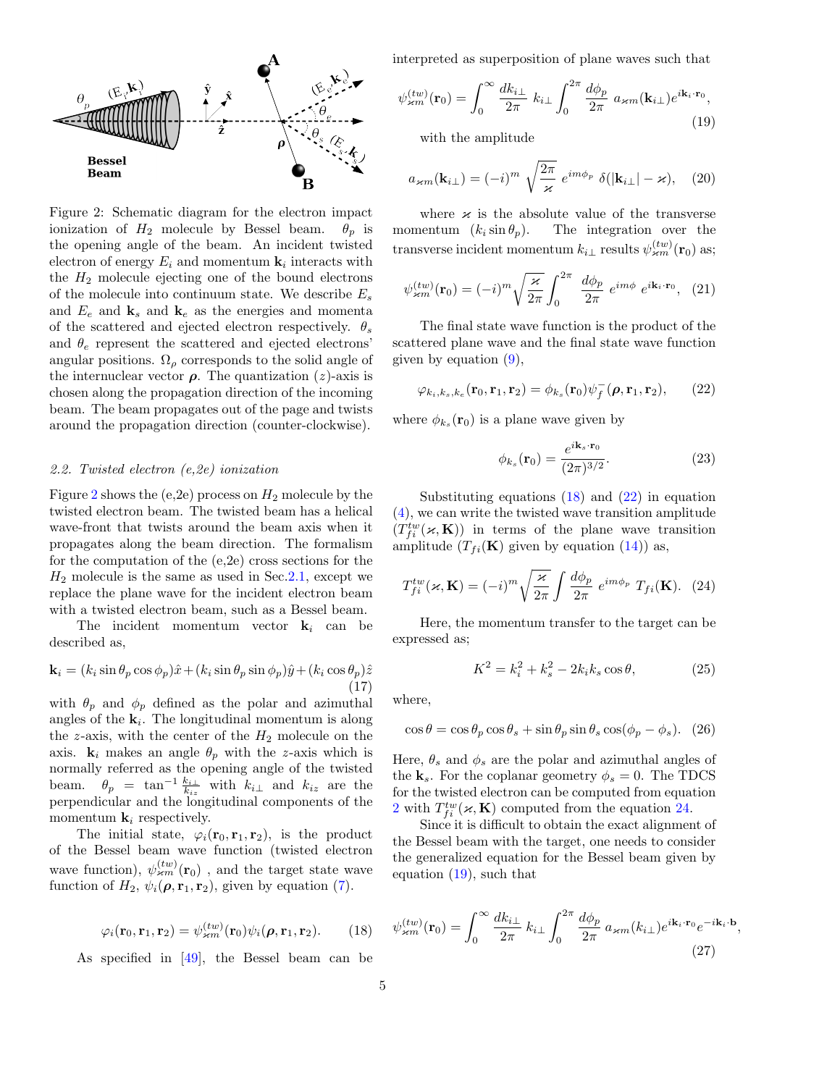<span id="page-4-1"></span>

Figure 2: Schematic diagram for the electron impact ionization of  $H_2$  molecule by Bessel beam.  $\theta_p$  is the opening angle of the beam. An incident twisted electron of energy  $E_i$  and momentum  $\mathbf{k}_i$  interacts with the  $H_2$  molecule ejecting one of the bound electrons of the molecule into continuum state. We describe  $E_s$ and  $E_e$  and  $\mathbf{k}_s$  and  $\mathbf{k}_e$  as the energies and momenta of the scattered and ejected electron respectively.  $\theta_s$ and  $\theta_e$  represent the scattered and ejected electrons' angular positions.  $\Omega_{\rho}$  corresponds to the solid angle of the internuclear vector  $\rho$ . The quantization (*z*)-axis is chosen along the propagation direction of the incoming beam. The beam propagates out of the page and twists around the propagation direction (counter-clockwise).

#### <span id="page-4-0"></span>2.2. Twisted electron (e,2e) ionization

Figure [2](#page-4-1) shows the (e,2e) process on  $H_2$  molecule by the twisted electron beam. The twisted beam has a helical wave-front that twists around the beam axis when it propagates along the beam direction. The formalism for the computation of the (e,2e) cross sections for the  $H_2$  molecule is the same as used in Sec. 2.1, except we replace the plane wave for the incident electron beam with a twisted electron beam, such as a Bessel beam.

The incident momentum vector  $\mathbf{k}_i$  can be described as,

$$
\mathbf{k}_{i} = (k_{i} \sin \theta_{p} \cos \phi_{p})\hat{x} + (k_{i} \sin \theta_{p} \sin \phi_{p})\hat{y} + (k_{i} \cos \theta_{p})\hat{z}
$$
\n(17)

with  $\theta_p$  and  $\phi_p$  defined as the polar and azimuthal angles of the  $\mathbf{k}_i$ . The longitudinal momentum is along the z-axis, with the center of the  $H_2$  molecule on the axis.  $\mathbf{k}_i$  makes an angle  $\theta_p$  with the z-axis which is normally referred as the opening angle of the twisted beam.  $\theta_p = \tan^{-1} \frac{k_{i\perp}}{k_{iz}}$  with  $k_{i\perp}$  and  $k_{iz}$  are the perpendicular and the longitudinal components of the momentum  $\mathbf{k}_i$  respectively.

The initial state,  $\varphi_i(\mathbf{r}_0, \mathbf{r}_1, \mathbf{r}_2)$ , is the product of the Bessel beam wave function (twisted electron wave function),  $\psi_{\varkappa m}^{(tw)}({\bf r}_0)$  , and the target state wave function of  $H_2$ ,  $\psi_i(\boldsymbol{\rho}, \mathbf{r}_1, \mathbf{r}_2)$ , given by equation [\(7\)](#page-3-0).

<span id="page-4-2"></span>
$$
\varphi_i(\mathbf{r}_0, \mathbf{r}_1, \mathbf{r}_2) = \psi_{\varkappa m}^{(tw)}(\mathbf{r}_0) \psi_i(\boldsymbol{\rho}, \mathbf{r}_1, \mathbf{r}_2). \qquad (18)
$$

As specified in  $[49]$ , the Bessel beam can be

interpreted as superposition of plane waves such that

<span id="page-4-5"></span>
$$
\psi_{\varkappa m}^{(tw)}(\mathbf{r}_0) = \int_0^\infty \frac{dk_{i\perp}}{2\pi} k_{i\perp} \int_0^{2\pi} \frac{d\phi_p}{2\pi} a_{\varkappa m}(\mathbf{k}_{i\perp}) e^{i\mathbf{k}_i \cdot \mathbf{r}_0},\tag{19}
$$

with the amplitude

$$
a_{\varkappa m}(\mathbf{k}_{i\perp}) = (-i)^m \sqrt{\frac{2\pi}{\varkappa}} e^{im\phi_p} \delta(|\mathbf{k}_{i\perp}| - \varkappa), \quad (20)
$$

where  $\varkappa$  is the absolute value of the transverse momentum  $(k_i \sin \theta_p)$ . The integration over the transverse incident momentum  $k_{i\perp}$  results  $\psi^{(tw)}_{\varkappa m}(\mathbf{r}_0)$  as;

$$
\psi_{\mathbf{x}m}^{(tw)}(\mathbf{r}_0) = (-i)^m \sqrt{\frac{\varkappa}{2\pi}} \int_0^{2\pi} \frac{d\phi_p}{2\pi} e^{im\phi} e^{i\mathbf{k}_i \cdot \mathbf{r}_0}, \tag{21}
$$

The final state wave function is the product of the scattered plane wave and the final state wave function given by equation  $(9)$ ,

<span id="page-4-3"></span>
$$
\varphi_{k_i,k_s,k_e}(\mathbf{r}_0,\mathbf{r}_1,\mathbf{r}_2)=\phi_{k_s}(\mathbf{r}_0)\psi_f^-(\boldsymbol{\rho},\mathbf{r}_1,\mathbf{r}_2),\qquad(22)
$$

where  $\phi_{k_s}(\mathbf{r}_0)$  is a plane wave given by

$$
\phi_{k_s}(\mathbf{r}_0) = \frac{e^{i\mathbf{k}_s \cdot \mathbf{r}_0}}{(2\pi)^{3/2}}.
$$
\n(23)

Substituting equations  $(18)$  and  $(22)$  in equation [\(4\)](#page-2-3), we can write the twisted wave transition amplitude  $(T_{fi}^{tw}(\boldsymbol{\varkappa},\mathbf{K}))$  in terms of the plane wave transition amplitude  $(T_{fi}(\mathbf{K})$  given by equation  $(14)$  as,

<span id="page-4-4"></span>
$$
T_{fi}^{tw}(\varkappa, \mathbf{K}) = (-i)^m \sqrt{\frac{\varkappa}{2\pi}} \int \frac{d\phi_p}{2\pi} e^{im\phi_p} T_{fi}(\mathbf{K}). \tag{24}
$$

Here, the momentum transfer to the target can be expressed as;

$$
K^2 = k_i^2 + k_s^2 - 2k_i k_s \cos \theta, \qquad (25)
$$

where,

$$
\cos \theta = \cos \theta_p \cos \theta_s + \sin \theta_p \sin \theta_s \cos(\phi_p - \phi_s). \tag{26}
$$

Here,  $\theta_s$  and  $\phi_s$  are the polar and azimuthal angles of the  $k_s$ . For the coplanar geometry  $\phi_s = 0$ . The TDCS for the twisted electron can be computed from equation [2](#page-2-2) with  $T_{fi}^{tw}(\boldsymbol{\varkappa},\mathbf{K})$  computed from the equation [24.](#page-4-4)

Since it is difficult to obtain the exact alignment of the Bessel beam with the target, one needs to consider the generalized equation for the Bessel beam given by equation [\(19\)](#page-4-5), such that

<span id="page-4-6"></span>
$$
\psi_{\mathbf{x}m}^{(tw)}(\mathbf{r}_0) = \int_0^\infty \frac{dk_{i\perp}}{2\pi} k_{i\perp} \int_0^{2\pi} \frac{d\phi_p}{2\pi} a_{\mathbf{x}m}(k_{i\perp}) e^{i\mathbf{k}_i \cdot \mathbf{r}_0} e^{-i\mathbf{k}_i \cdot \mathbf{b}} \tag{27}
$$

,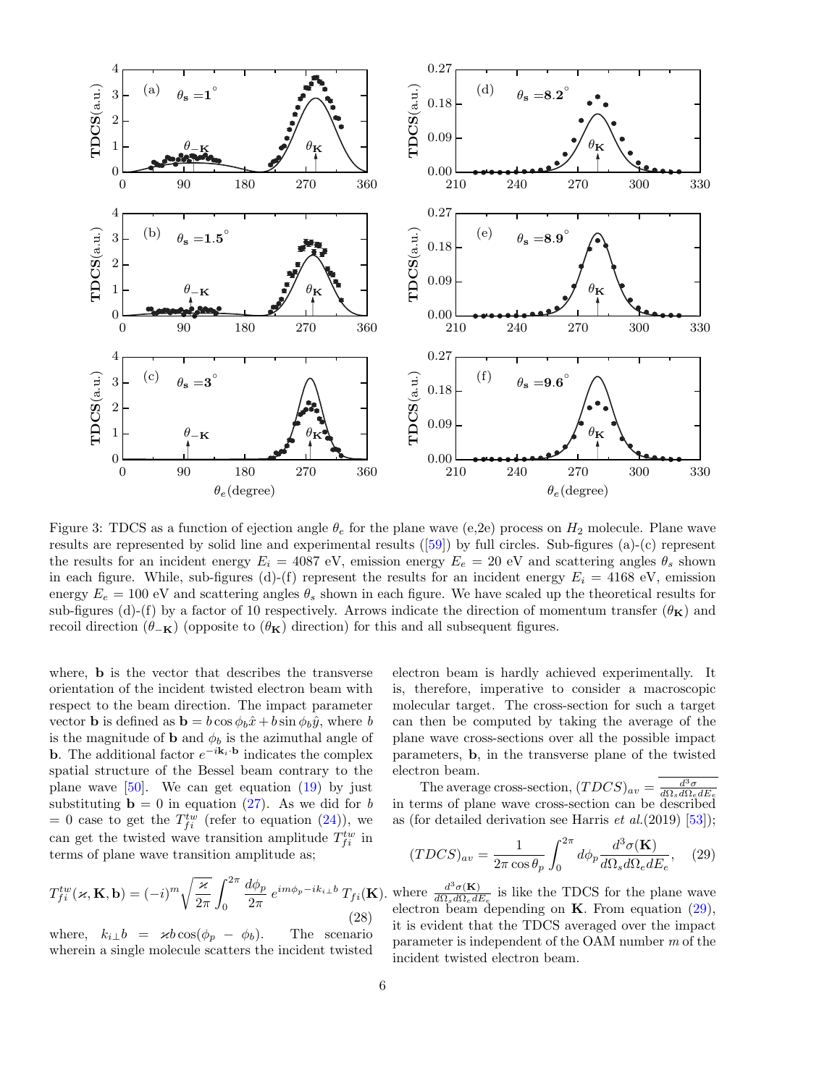<span id="page-5-1"></span>

Figure 3: TDCS as a function of ejection angle  $\theta_e$  for the plane wave (e,2e) process on  $H_2$  molecule. Plane wave results are represented by solid line and experimental results([\[59\]](#page-16-24)) by full circles. Sub-figures (a)-(c) represent the results for an incident energy  $E_i = 4087$  eV, emission energy  $E_e = 20$  eV and scattering angles  $\theta_s$  shown in each figure. While, sub-figures (d)-(f) represent the results for an incident energy  $E_i = 4168 \text{ eV}$ , emission energy  $E_e = 100 \text{ eV}$  and scattering angles  $\theta_s$  shown in each figure. We have scaled up the theoretical results for sub-figures (d)-(f) by a factor of 10 respectively. Arrows indicate the direction of momentum transfer  $(\theta_{\mathbf{K}})$  and recoil direction ( $\theta_{-\mathbf{K}}$ ) (opposite to ( $\theta_{\mathbf{K}}$ ) direction) for this and all subsequent figures.

where, b is the vector that describes the transverse orientation of the incident twisted electron beam with respect to the beam direction. The impact parameter vector **b** is defined as **b** =  $b \cos \phi_b \hat{x} + b \sin \phi_b \hat{y}$ , where *b* is the magnitude of **b** and  $\phi_b$  is the azimuthal angle of **b**. The additional factor  $e^{-i\mathbf{k}_i \cdot \mathbf{b}}$  indicates the complex spatial structure of the Bessel beam contrary to the plane wave  $[50]$ . We can get equation  $(19)$  by just substituting  $\mathbf{b} = 0$  in equation [\(27\)](#page-4-6). As we did for b = 0 case to get the  $T_{fi}^{tw}$  (refer to equation [\(24\)](#page-4-4)), we can get the twisted wave transition amplitude  $T_{fi}^{tw}$  in terms of plane wave transition amplitude as;

$$
T_{fi}^{tw}(\varkappa, \mathbf{K}, \mathbf{b}) = (-i)^m \sqrt{\frac{\varkappa}{2\pi}} \int_0^{2\pi} \frac{d\phi_p}{2\pi} e^{im\phi_p - ik_{i\perp}b} T_{fi}(\mathbf{K}).
$$
\n(28)

where,  $k_{i\perp}b = \varkappa b \cos(\phi_p - \phi_b)$ . The scenario wherein a single molecule scatters the incident twisted

electron beam is hardly achieved experimentally. It is, therefore, imperative to consider a macroscopic molecular target. The cross-section for such a target can then be computed by taking the average of the plane wave cross-sections over all the possible impact parameters, b, in the transverse plane of the twisted electron beam.

The average cross-section,  $(TDCS)_{av} = \frac{d^3\sigma}{d\Omega_s d\Omega_e dE_e}$ in terms of plane wave cross-section can be described as (for detailed derivation see Harris  $et al.(2019) [53]$  $et al.(2019) [53]$ );

<span id="page-5-0"></span>
$$
(TDCS)_{av} = \frac{1}{2\pi \cos \theta_p} \int_0^{2\pi} d\phi_p \frac{d^3 \sigma(\mathbf{K})}{d\Omega_s d\Omega_e dE_e}, \quad (29)
$$

where  $\frac{d^3\sigma(\mathbf{K})}{d\Omega_d d\Omega_d d\Omega}$  $\frac{d^{\alpha} \sigma(\mathbf{K})}{d\Omega_s d\Omega_e dE_e}$  is like the TDCS for the plane wave electron beam depending on  $K$ . From equation  $(29)$ , it is evident that the TDCS averaged over the impact parameter is independent of the OAM number m of the incident twisted electron beam.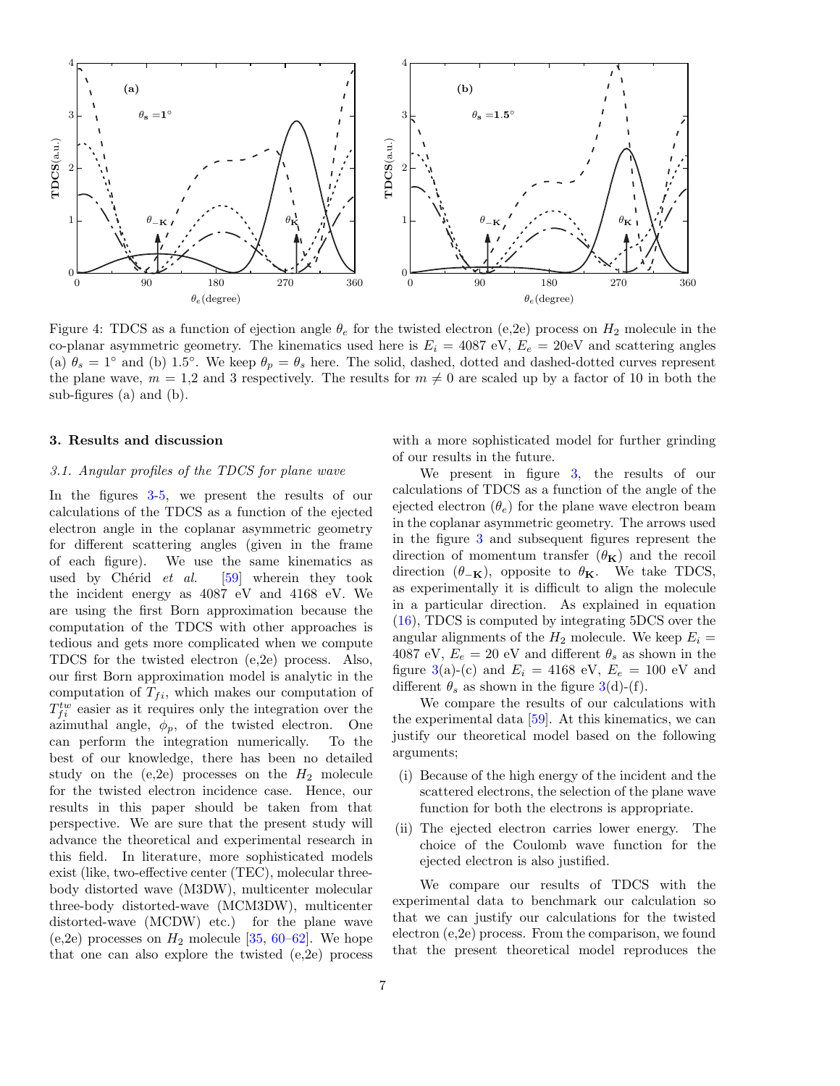<span id="page-6-1"></span>

Figure 4: TDCS as a function of ejection angle  $\theta_e$  for the twisted electron (e,2e) process on  $H_2$  molecule in the co-planar asymmetric geometry. The kinematics used here is  $E_i = 4087 \text{ eV}$ ,  $E_e = 20 \text{eV}$  and scattering angles (a)  $\theta_s = 1^\circ$  and (b) 1.5°. We keep  $\theta_p = \theta_s$  here. The solid, dashed, dotted and dashed-dotted curves represent the plane wave,  $m = 1.2$  and 3 respectively. The results for  $m \neq 0$  are scaled up by a factor of 10 in both the sub-figures (a) and (b).

#### <span id="page-6-0"></span>3. Results and discussion

#### 3.1. Angular profiles of the TDCS for plane wave

In the figures [3-](#page-5-1)[5,](#page-7-0) we present the results of our calculations of the TDCS as a function of the ejected electron angle in the coplanar asymmetric geometry for different scattering angles (given in the frame of each figure). We use the same kinematics as used by Chérid  $et \ al.$  [\[59\]](#page-16-24) wherein they took the incident energy as 4087 eV and 4168 eV. We are using the first Born approximation because the computation of the TDCS with other approaches is tedious and gets more complicated when we compute TDCS for the twisted electron (e,2e) process. Also, our first Born approximation model is analytic in the computation of  $T_{fi}$ , which makes our computation of  $T_{fi}^{tw}$  easier as it requires only the integration over the azimuthal angle,  $\phi_p$ , of the twisted electron. One can perform the integration numerically. To the best of our knowledge, there has been no detailed study on the  $(e,2e)$  processes on the  $H_2$  molecule for the twisted electron incidence case. Hence, our results in this paper should be taken from that perspective. We are sure that the present study will advance the theoretical and experimental research in this field. In literature, more sophisticated models exist (like, two-effective center (TEC), molecular threebody distorted wave (M3DW), multicenter molecular three-body distorted-wave (MCM3DW), multicenter distorted-wave (MCDW) etc.) for the plane wave (e,2e) processes on  $H_2$  molecule [\[35,](#page-16-3) [60–](#page-16-25)[62\]](#page-16-26). We hope that one can also explore the twisted (e,2e) process

with a more sophisticated model for further grinding of our results in the future.

We present in figure [3,](#page-5-1) the results of our calculations of TDCS as a function of the angle of the ejected electron  $(\theta_e)$  for the plane wave electron beam in the coplanar asymmetric geometry. The arrows used in the figure [3](#page-5-1) and subsequent figures represent the direction of momentum transfer  $(\theta_{\mathbf{K}})$  and the recoil direction  $(\theta_{-\mathbf{K}})$ , opposite to  $\theta_{\mathbf{K}}$ . We take TDCS, as experimentally it is difficult to align the molecule in a particular direction. As explained in equation [\(16\)](#page-3-4), TDCS is computed by integrating 5DCS over the angular alignments of the  $H_2$  molecule. We keep  $E_i =$ 4087 eV,  $E_e = 20$  eV and different  $\theta_s$  as shown in the figure [3\(](#page-5-1)a)-(c) and  $E_i = 4168 \text{ eV}, E_e = 100 \text{ eV}$  and different  $\theta_s$  as shown in the figure [3\(](#page-5-1)d)-(f).

We compare the results of our calculations with the experimental data [\[59\]](#page-16-24). At this kinematics, we can justify our theoretical model based on the following arguments;

- (i) Because of the high energy of the incident and the scattered electrons, the selection of the plane wave function for both the electrons is appropriate.
- (ii) The ejected electron carries lower energy. The choice of the Coulomb wave function for the ejected electron is also justified.

We compare our results of TDCS with the experimental data to benchmark our calculation so that we can justify our calculations for the twisted electron (e,2e) process. From the comparison, we found that the present theoretical model reproduces the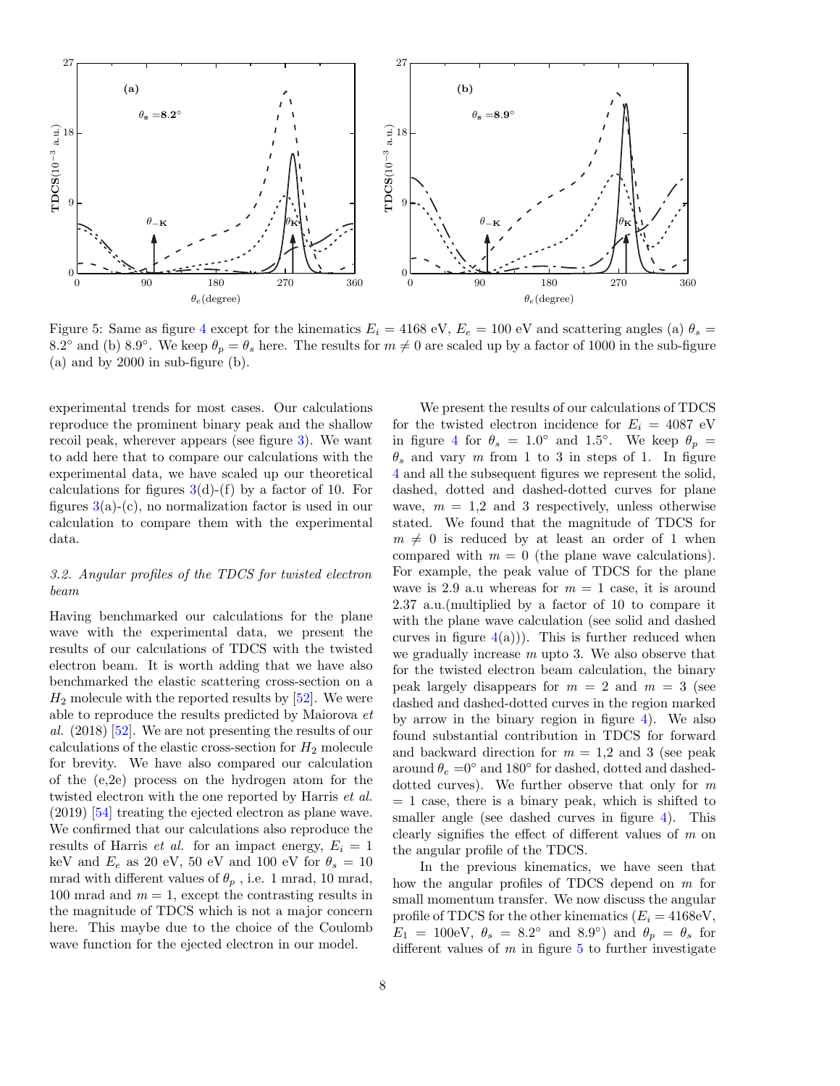<span id="page-7-0"></span>

Figure 5: Same as figure [4](#page-6-1) except for the kinematics  $E_i = 4168 \text{ eV}, E_e = 100 \text{ eV}$  and scattering angles (a)  $\theta_s =$ 8.2° and (b) 8.9°. We keep  $\theta_p = \theta_s$  here. The results for  $m \neq 0$  are scaled up by a factor of 1000 in the sub-figure (a) and by 2000 in sub-figure (b).

experimental trends for most cases. Our calculations reproduce the prominent binary peak and the shallow recoil peak, wherever appears (see figure [3\)](#page-5-1). We want to add here that to compare our calculations with the experimental data, we have scaled up our theoretical calculations for figures  $3(d)$  $3(d)$ -(f) by a factor of 10. For figures  $3(a)-(c)$  $3(a)-(c)$ , no normalization factor is used in our calculation to compare them with the experimental data.

## 3.2. Angular profiles of the TDCS for twisted electron beam

Having benchmarked our calculations for the plane wave with the experimental data, we present the results of our calculations of TDCS with the twisted electron beam. It is worth adding that we have also benchmarked the elastic scattering cross-section on a  $H_2$  molecule with the reported results by  $[52]$ . We were able to reproduce the results predicted by Maiorova et al.  $(2018)$  [\[52\]](#page-16-17). We are not presenting the results of our calculations of the elastic cross-section for  $H_2$  molecule for brevity. We have also compared our calculation of the (e,2e) process on the hydrogen atom for the twisted electron with the one reported by Harris *et al.* (2019) [\[54\]](#page-16-19) treating the ejected electron as plane wave. We confirmed that our calculations also reproduce the results of Harris *et al.* for an impact energy,  $E_i = 1$ keV and  $E_e$  as 20 eV, 50 eV and 100 eV for  $\theta_s = 10$ mrad with different values of  $\theta_p$ , i.e. 1 mrad, 10 mrad, 100 mrad and  $m = 1$ , except the contrasting results in the magnitude of TDCS which is not a major concern here. This maybe due to the choice of the Coulomb wave function for the ejected electron in our model.

We present the results of our calculations of TDCS for the twisted electron incidence for  $E_i = 4087$  eV in figure [4](#page-6-1) for  $\theta_s = 1.0^{\circ}$  and 1.5°. We keep  $\theta_p =$  $\theta_s$  and vary m from 1 to 3 in steps of 1. In figure [4](#page-6-1) and all the subsequent figures we represent the solid, dashed, dotted and dashed-dotted curves for plane wave,  $m = 1.2$  and 3 respectively, unless otherwise stated. We found that the magnitude of TDCS for  $m \neq 0$  is reduced by at least an order of 1 when compared with  $m = 0$  (the plane wave calculations). For example, the peak value of TDCS for the plane wave is 2.9 a.u whereas for  $m = 1$  case, it is around 2.37 a.u.(multiplied by a factor of 10 to compare it with the plane wave calculation (see solid and dashed curves in figure  $4(a)$  $4(a)$ ). This is further reduced when we gradually increase  $m$  upto 3. We also observe that for the twisted electron beam calculation, the binary peak largely disappears for  $m = 2$  and  $m = 3$  (see dashed and dashed-dotted curves in the region marked by arrow in the binary region in figure  $4$ ). We also found substantial contribution in TDCS for forward and backward direction for  $m = 1.2$  and 3 (see peak around  $\theta_e = 0^\circ$  and 180 $^\circ$  for dashed, dotted and dasheddotted curves). We further observe that only for m  $= 1$  case, there is a binary peak, which is shifted to smaller angle (see dashed curves in figure [4\)](#page-6-1). This clearly signifies the effect of different values of m on the angular profile of the TDCS.

In the previous kinematics, we have seen that how the angular profiles of TDCS depend on m for small momentum transfer. We now discuss the angular profile of TDCS for the other kinematics  $(E_i = 4168 \text{eV},$  $E_1 = 100$ eV,  $\theta_s = 8.2^\circ$  and  $8.9^\circ$ ) and  $\theta_p = \theta_s$  for different values of  $m$  in figure  $5$  to further investigate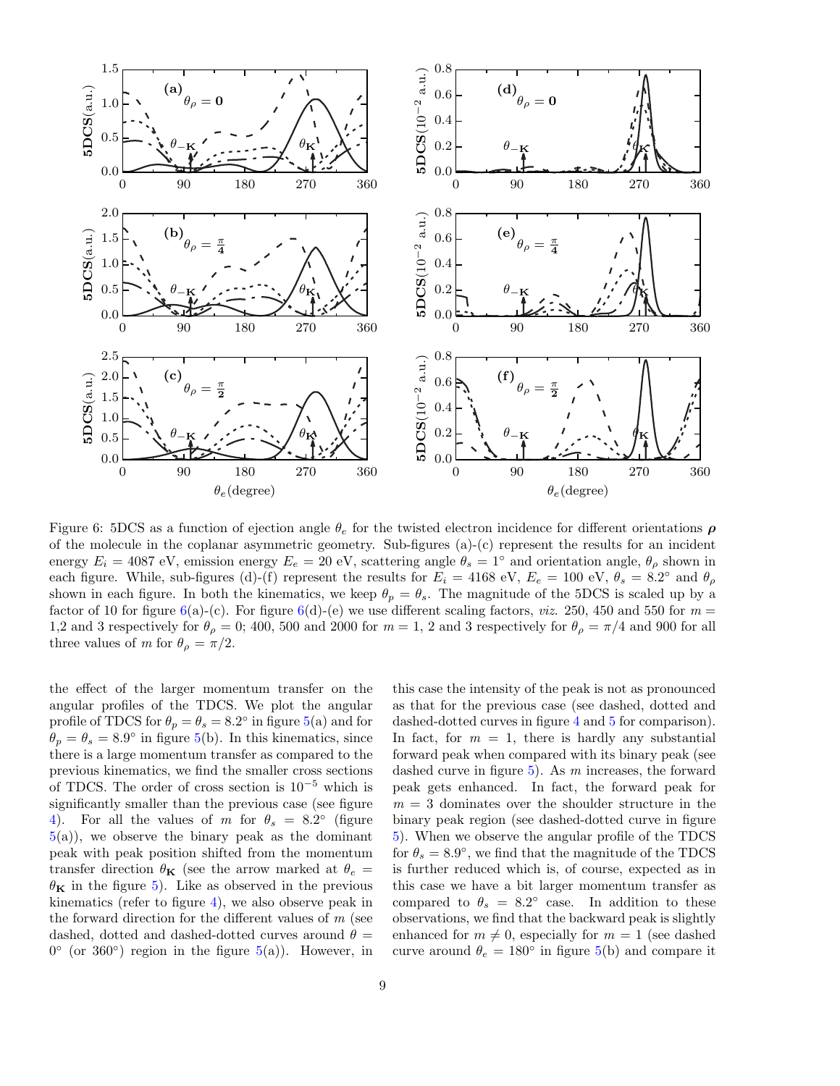<span id="page-8-0"></span>

Figure 6: 5DCS as a function of ejection angle  $\theta_e$  for the twisted electron incidence for different orientations  $\rho$ of the molecule in the coplanar asymmetric geometry. Sub-figures (a)-(c) represent the results for an incident energy  $E_i = 4087 \text{ eV}$ , emission energy  $E_e = 20 \text{ eV}$ , scattering angle  $\theta_s = 1^\circ$  and orientation angle,  $\theta_\rho$  shown in each figure. While, sub-figures (d)-(f) represent the results for  $E_i = 4168 \text{ eV}, E_e = 100 \text{ eV}, \theta_s = 8.2°$  and  $\theta_\rho$ shown in each figure. In both the kinematics, we keep  $\theta_p = \theta_s$ . The magnitude of the 5DCS is scaled up by a factor of 10 for figure [6\(](#page-8-0)a)-(c). For figure 6(d)-(e) we use different scaling factors, *viz.* 250, 450 and 550 for  $m =$ 1,2 and 3 respectively for  $\theta_{\rho} = 0$ ; 400, 500 and 2000 for  $m = 1$ , 2 and 3 respectively for  $\theta_{\rho} = \pi/4$  and 900 for all three values of m for  $\theta_{\rho} = \pi/2$ .

the effect of the larger momentum transfer on the angular profiles of the TDCS. We plot the angular profile of TDCS for  $\theta_p = \theta_s = 8.2^\circ$  in figure [5\(](#page-7-0)a) and for  $\theta_p = \theta_s = 8.9^\circ$  in figure [5\(](#page-7-0)b). In this kinematics, since there is a large momentum transfer as compared to the previous kinematics, we find the smaller cross sections of TDCS. The order of cross section is 10<sup>−</sup><sup>5</sup> which is significantly smaller than the previous case (see figure [4\)](#page-6-1). For all the values of m for  $\theta_s = 8.2^\circ$  (figure  $5(a)$  $5(a)$ , we observe the binary peak as the dominant peak with peak position shifted from the momentum transfer direction  $\theta_{\mathbf{K}}$  (see the arrow marked at  $\theta_e =$  $\theta_{\mathbf{K}}$  in the figure [5\)](#page-7-0). Like as observed in the previous kinematics (refer to figure [4\)](#page-6-1), we also observe peak in the forward direction for the different values of  $m$  (see dashed, dotted and dashed-dotted curves around  $\theta =$  $0^{\circ}$  (or 360°) region in the figure  $5(a)$  $5(a)$ ). However, in

this case the intensity of the peak is not as pronounced as that for the previous case (see dashed, dotted and dashed-dotted curves in figure [4](#page-6-1) and [5](#page-7-0) for comparison). In fact, for  $m = 1$ , there is hardly any substantial forward peak when compared with its binary peak (see dashed curve in figure  $5$ ). As m increases, the forward peak gets enhanced. In fact, the forward peak for  $m = 3$  dominates over the shoulder structure in the binary peak region (see dashed-dotted curve in figure [5\)](#page-7-0). When we observe the angular profile of the TDCS for  $\theta_s = 8.9^{\circ}$ , we find that the magnitude of the TDCS is further reduced which is, of course, expected as in this case we have a bit larger momentum transfer as compared to  $\theta_s = 8.2^\circ$  case. In addition to these observations, we find that the backward peak is slightly enhanced for  $m \neq 0$ , especially for  $m = 1$  (see dashed curve around  $\theta_e = 180^\circ$  in figure [5\(](#page-7-0)b) and compare it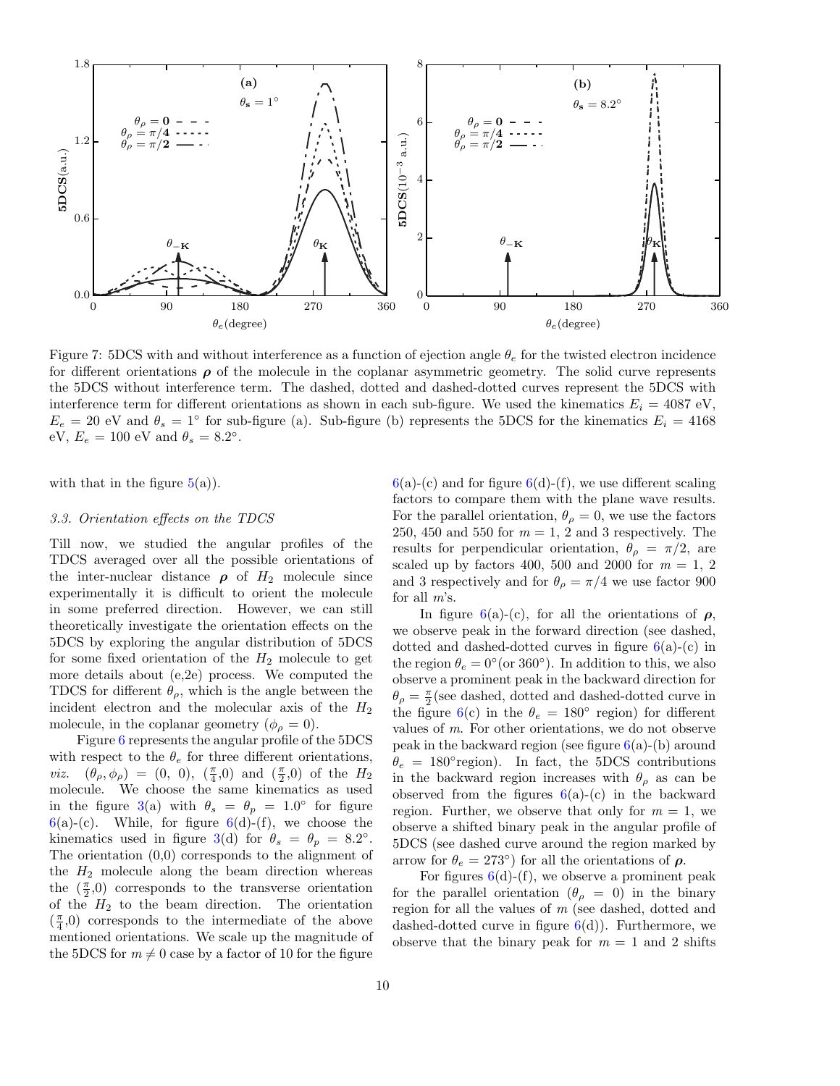<span id="page-9-0"></span>

Figure 7: 5DCS with and without interference as a function of ejection angle  $\theta_e$  for the twisted electron incidence for different orientations  $\rho$  of the molecule in the coplanar asymmetric geometry. The solid curve represents the 5DCS without interference term. The dashed, dotted and dashed-dotted curves represent the 5DCS with interference term for different orientations as shown in each sub-figure. We used the kinematics  $E_i = 4087 \text{ eV}$ ,  $E_e = 20$  eV and  $\theta_s = 1^\circ$  for sub-figure (a). Sub-figure (b) represents the 5DCS for the kinematics  $E_i = 4168$ eV,  $E_e = 100$  eV and  $\theta_s = 8.2^\circ$ .

with that in the figure  $5(a)$  $5(a)$ ).

## 3.3. Orientation effects on the TDCS

Till now, we studied the angular profiles of the TDCS averaged over all the possible orientations of the inter-nuclear distance  $\rho$  of  $H_2$  molecule since experimentally it is difficult to orient the molecule in some preferred direction. However, we can still theoretically investigate the orientation effects on the 5DCS by exploring the angular distribution of 5DCS for some fixed orientation of the  $H_2$  molecule to get more details about (e,2e) process. We computed the TDCS for different  $\theta_{\rho}$ , which is the angle between the incident electron and the molecular axis of the  $H_2$ molecule, in the coplanar geometry  $(\phi_{\rho} = 0)$ .

Figure [6](#page-8-0) represents the angular profile of the 5DCS with respect to the  $\theta_e$  for three different orientations, *viz.*  $(\theta_{\rho}, \phi_{\rho}) = (0, 0), (\frac{\pi}{4}, 0)$  and  $(\frac{\pi}{2}, 0)$  of the  $H_2$ molecule. We choose the same kinematics as used in the figure [3\(](#page-5-1)a) with  $\theta_s = \theta_p = 1.0^{\circ}$  for figure  $6(a)-(c)$  $6(a)-(c)$ . While, for figure  $6(d)-(f)$ , we choose the kinematics used in figure [3\(](#page-5-1)d) for  $\theta_s = \theta_p = 8.2^\circ$ . The orientation (0,0) corresponds to the alignment of the  $H_2$  molecule along the beam direction whereas the  $(\frac{\pi}{2},0)$  corresponds to the transverse orientation of the  $H_2$  to the beam direction. The orientation  $(\frac{\pi}{4},0)$  corresponds to the intermediate of the above mentioned orientations. We scale up the magnitude of the 5DCS for  $m \neq 0$  case by a factor of 10 for the figure  $6(a)-(c)$  $6(a)-(c)$  and for figure  $6(d)-(f)$ , we use different scaling factors to compare them with the plane wave results. For the parallel orientation,  $\theta_{\rho} = 0$ , we use the factors 250, 450 and 550 for  $m = 1, 2$  and 3 respectively. The results for perpendicular orientation,  $\theta_{\rho} = \pi/2$ , are scaled up by factors 400, 500 and 2000 for  $m = 1, 2$ and 3 respectively and for  $\theta_{\rho} = \pi/4$  we use factor 900 for all m's.

In figure [6\(](#page-8-0)a)-(c), for all the orientations of  $\rho$ , we observe peak in the forward direction (see dashed, dotted and dashed-dotted curves in figure  $6(a)-(c)$  $6(a)-(c)$  in the region  $\theta_e = 0^{\circ}$  (or 360°). In addition to this, we also observe a prominent peak in the backward direction for  $\theta_{\rho} = \frac{\pi}{2}$  (see dashed, dotted and dashed-dotted curve in the figure [6\(](#page-8-0)c) in the  $\theta_e = 180^\circ$  region) for different values of m. For other orientations, we do not observe peak in the backward region (see figure  $6(a)$  $6(a)$ -(b) around  $\theta_e = 180^\circ$  region). In fact, the 5DCS contributions in the backward region increases with  $\theta_{\rho}$  as can be observed from the figures  $6(a)-(c)$  $6(a)-(c)$  in the backward region. Further, we observe that only for  $m = 1$ , we observe a shifted binary peak in the angular profile of 5DCS (see dashed curve around the region marked by arrow for  $\theta_e = 273^\circ$  for all the orientations of  $\rho$ .

For figures  $6(d)$  $6(d)$ -(f), we observe a prominent peak for the parallel orientation  $(\theta_{\rho} = 0)$  in the binary region for all the values of m (see dashed, dotted and dashed-dotted curve in figure  $6(d)$  $6(d)$ ). Furthermore, we observe that the binary peak for  $m = 1$  and 2 shifts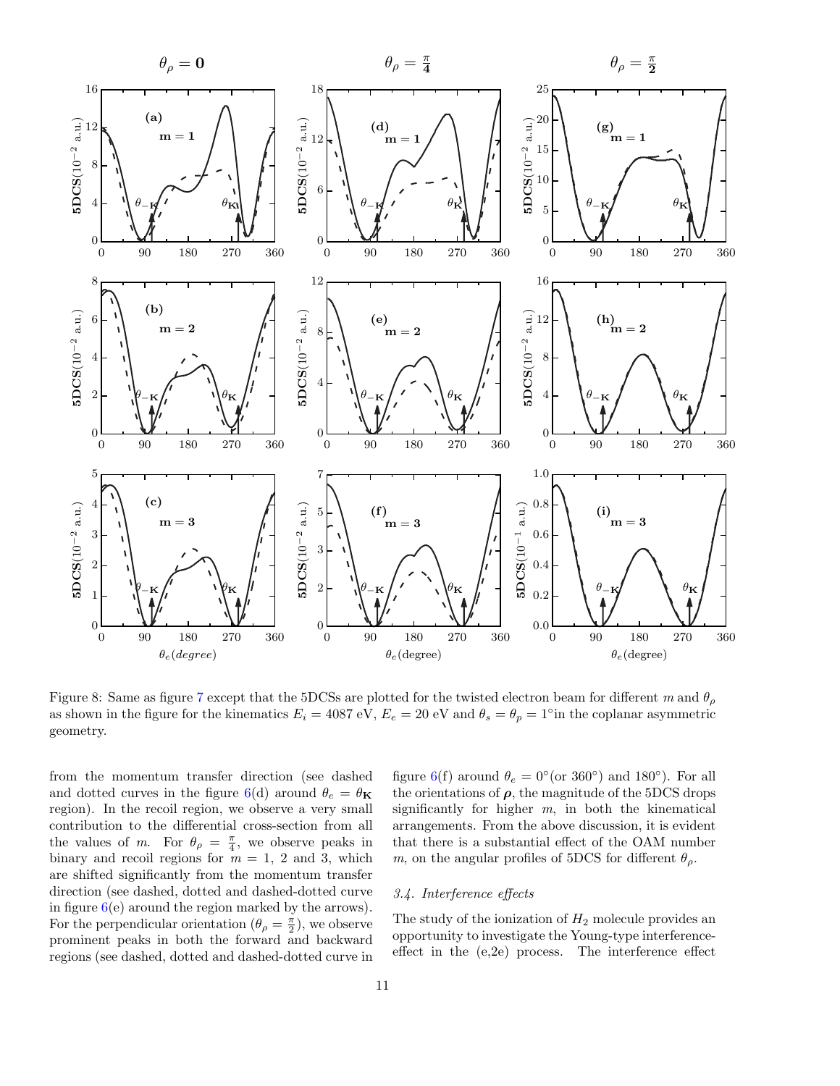<span id="page-10-0"></span>

Figure 8: Same as figure [7](#page-9-0) except that the 5DCSs are plotted for the twisted electron beam for different m and  $\theta_{\rho}$ as shown in the figure for the kinematics  $E_i = 4087 \text{ eV}$ ,  $E_e = 20 \text{ eV}$  and  $\theta_s = \theta_p = 1°$  in the coplanar asymmetric geometry.

from the momentum transfer direction (see dashed and dotted curves in the figure [6\(](#page-8-0)d) around  $\theta_e = \theta_{\mathbf{K}}$ region). In the recoil region, we observe a very small contribution to the differential cross-section from all the values of m. For  $\theta_{\rho} = \frac{\pi}{4}$ , we observe peaks in binary and recoil regions for  $m = 1, 2$  and 3, which are shifted significantly from the momentum transfer direction (see dashed, dotted and dashed-dotted curve in figure  $6(e)$  $6(e)$  around the region marked by the arrows). For the perpendicular orientation  $(\theta_{\rho} = \frac{\pi}{2})$ , we observe prominent peaks in both the forward and backward regions (see dashed, dotted and dashed-dotted curve in

figure [6\(](#page-8-0)f) around  $\theta_e = 0^{\circ}$  (or 360°) and 180°). For all the orientations of  $\rho$ , the magnitude of the 5DCS drops significantly for higher  $m$ , in both the kinematical arrangements. From the above discussion, it is evident that there is a substantial effect of the OAM number m, on the angular profiles of 5DCS for different  $\theta_{\rho}$ .

#### 3.4. Interference effects

The study of the ionization of  $H_2$  molecule provides an opportunity to investigate the Young-type interferenceeffect in the (e,2e) process. The interference effect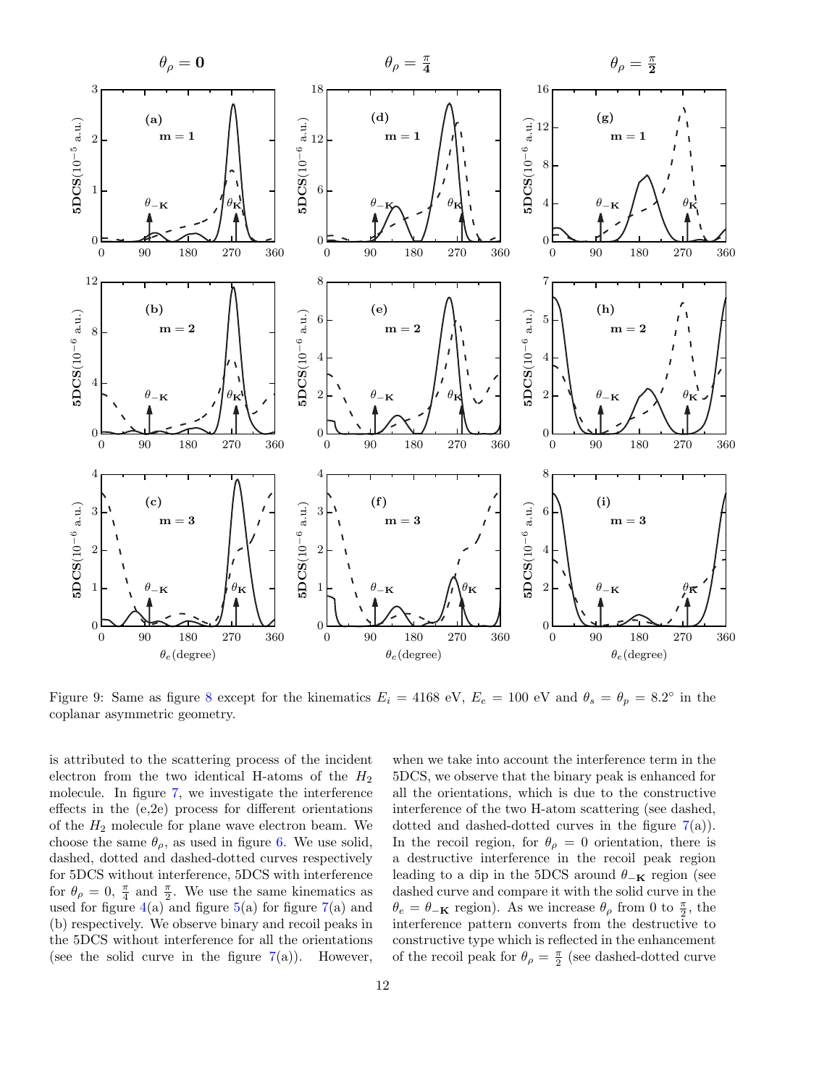<span id="page-11-0"></span>

Figure 9: Same as figure [8](#page-10-0) except for the kinematics  $E_i = 4168 \text{ eV}$ ,  $E_e = 100 \text{ eV}$  and  $\theta_s = \theta_p = 8.2^\circ$  in the coplanar asymmetric geometry.

is attributed to the scattering process of the incident electron from the two identical H-atoms of the  $H_2$ molecule. In figure [7,](#page-9-0) we investigate the interference effects in the (e,2e) process for different orientations of the  $H_2$  molecule for plane wave electron beam. We choose the same  $\theta_{\rho}$ , as used in figure [6.](#page-8-0) We use solid, dashed, dotted and dashed-dotted curves respectively for 5DCS without interference, 5DCS with interference for  $\theta_{\rho} = 0$ ,  $\frac{\pi}{4}$  and  $\frac{\pi}{2}$ . We use the same kinematics as used for figure  $4(a)$  $4(a)$  and figure  $5(a)$  $5(a)$  for figure  $7(a)$  $7(a)$  and (b) respectively. We observe binary and recoil peaks in the 5DCS without interference for all the orientations (see the solid curve in the figure  $7(a)$  $7(a)$ ). However, when we take into account the interference term in the 5DCS, we observe that the binary peak is enhanced for all the orientations, which is due to the constructive interference of the two H-atom scattering (see dashed, dotted and dashed-dotted curves in the figure  $7(a)$  $7(a)$ ). In the recoil region, for  $\theta_{\rho} = 0$  orientation, there is a destructive interference in the recoil peak region leading to a dip in the 5DCS around  $\theta_{-\mathbf{K}}$  region (see dashed curve and compare it with the solid curve in the  $\theta_e = \theta_{-\mathbf{K}}$  region). As we increase  $\theta_\rho$  from 0 to  $\frac{\pi}{2}$ , the interference pattern converts from the destructive to constructive type which is reflected in the enhancement of the recoil peak for  $\theta_{\rho} = \frac{\pi}{2}$  (see dashed-dotted curve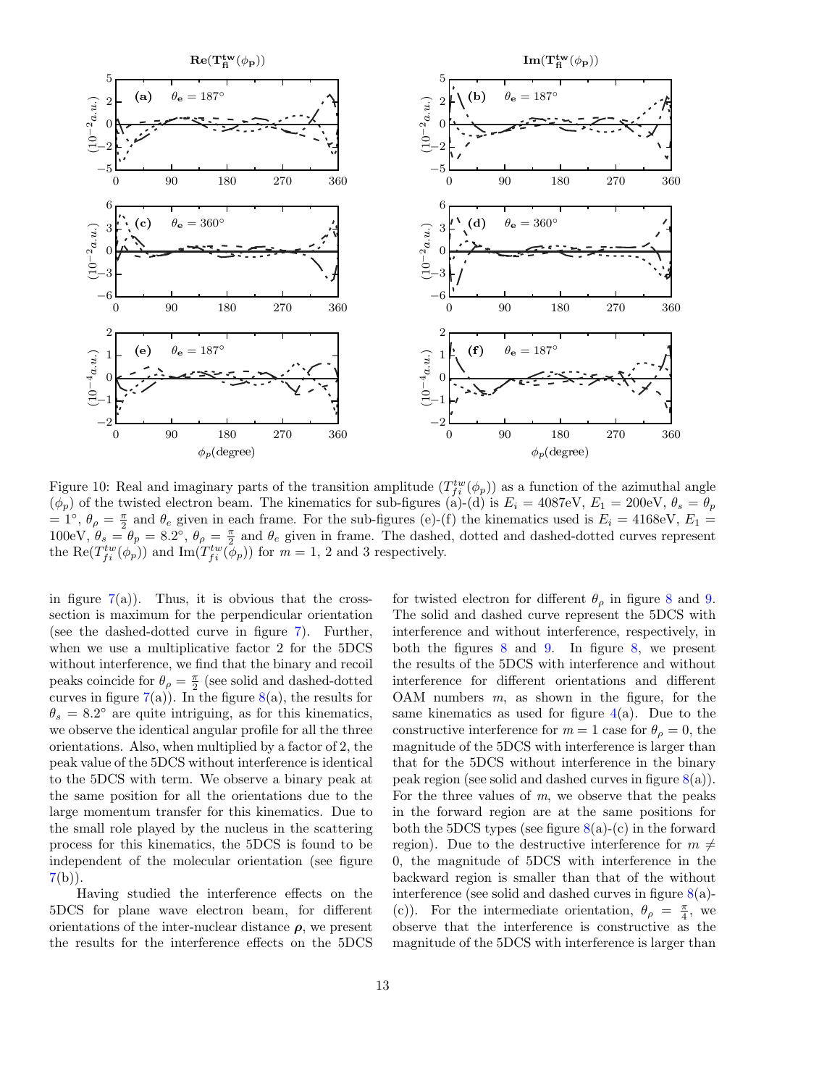<span id="page-12-0"></span>

Figure 10: Real and imaginary parts of the transition amplitude  $(T_{fi}^{tw}(\phi_p))$  as a function of the azimuthal angle  $(\phi_p)$  of the twisted electron beam. The kinematics for sub-figures (a)-(d) is  $E_i = 4087 \text{eV}, E_1 = 200 \text{eV}, \theta_s = \theta_p$  $= 1^{\circ}$ ,  $\theta_{\rho} = \frac{\pi}{2}$  and  $\theta_e$  given in each frame. For the sub-figures (e)-(f) the kinematics used is  $E_i = 4168 \text{eV}$ ,  $E_1 =$ 100eV,  $\theta_s = \theta_p = 8.2^{\circ}$ ,  $\theta_\rho = \frac{\pi}{2}$  and  $\theta_e$  given in frame. The dashed, dotted and dashed-dotted curves represent the  $\text{Re}(T_{fi}^{tw}(\phi_p))$  and  $\text{Im}(T_{fi}^{tw}(\phi_p))$  for  $m=1, 2$  and 3 respectively.

in figure  $7(a)$  $7(a)$ ). Thus, it is obvious that the crosssection is maximum for the perpendicular orientation (see the dashed-dotted curve in figure [7\)](#page-9-0). Further, when we use a multiplicative factor 2 for the 5DCS without interference, we find that the binary and recoil peaks coincide for  $\theta_{\rho} = \frac{\pi}{2}$  (see solid and dashed-dotted curves in figure  $7(a)$  $7(a)$ ). In the figure  $8(a)$  $8(a)$ , the results for  $\theta_s = 8.2^{\circ}$  are quite intriguing, as for this kinematics, we observe the identical angular profile for all the three orientations. Also, when multiplied by a factor of 2, the peak value of the 5DCS without interference is identical to the 5DCS with term. We observe a binary peak at the same position for all the orientations due to the large momentum transfer for this kinematics. Due to the small role played by the nucleus in the scattering process for this kinematics, the 5DCS is found to be independent of the molecular orientation (see figure  $7(b)$  $7(b)$ ).

Having studied the interference effects on the 5DCS for plane wave electron beam, for different orientations of the inter-nuclear distance  $\rho$ , we present the results for the interference effects on the 5DCS

for twisted electron for different  $\theta_{\rho}$  in figure [8](#page-10-0) and [9.](#page-11-0) The solid and dashed curve represent the 5DCS with interference and without interference, respectively, in both the figures [8](#page-10-0) and [9.](#page-11-0) In figure [8,](#page-10-0) we present the results of the 5DCS with interference and without interference for different orientations and different OAM numbers  $m$ , as shown in the figure, for the same kinematics as used for figure  $4(a)$  $4(a)$ . Due to the constructive interference for  $m = 1$  case for  $\theta_{\rho} = 0$ , the magnitude of the 5DCS with interference is larger than that for the 5DCS without interference in the binary peak region (see solid and dashed curves in figure  $8(a)$  $8(a)$ ). For the three values of  $m$ , we observe that the peaks in the forward region are at the same positions for both the 5DCS types (see figure  $8(a)-(c)$  $8(a)-(c)$ ) in the forward region). Due to the destructive interference for  $m \neq$ 0, the magnitude of 5DCS with interference in the backward region is smaller than that of the without interference (see solid and dashed curves in figure  $8(a)$  $8(a)$ -(c)). For the intermediate orientation,  $\theta_{\rho} = \frac{\pi}{4}$ , we observe that the interference is constructive as the magnitude of the 5DCS with interference is larger than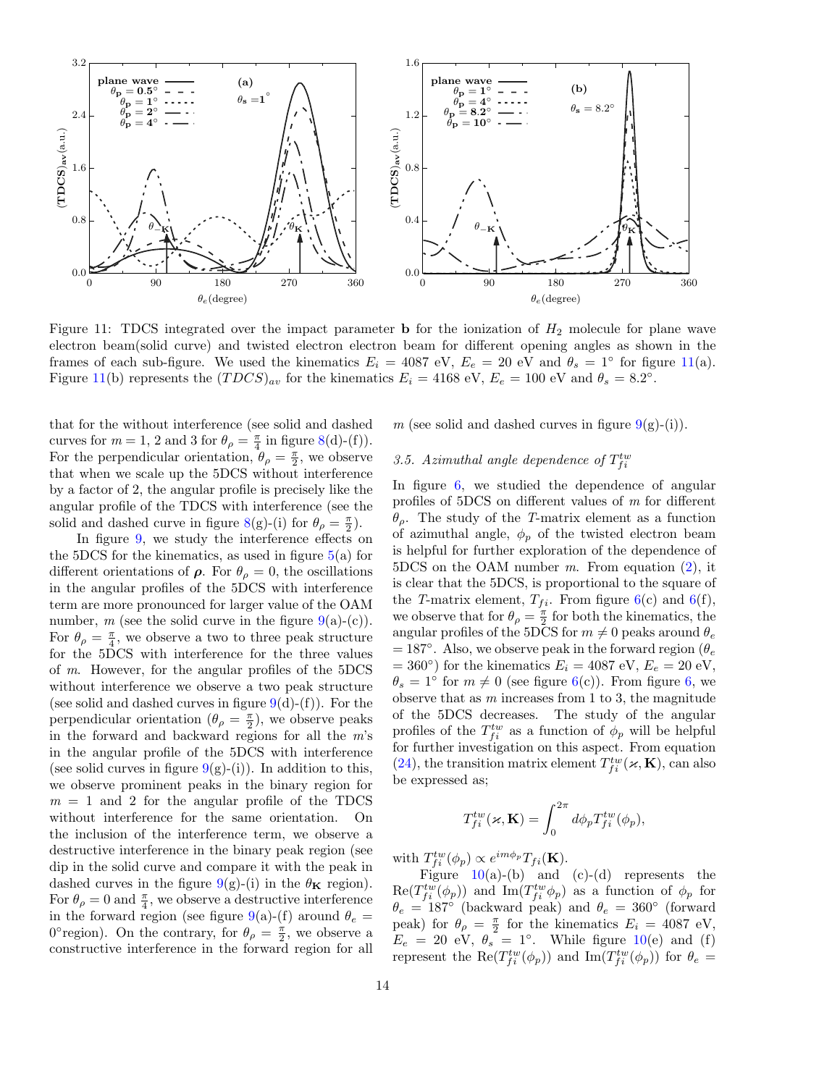<span id="page-13-0"></span>

Figure 11: TDCS integrated over the impact parameter **b** for the ionization of  $H_2$  molecule for plane wave electron beam(solid curve) and twisted electron electron beam for different opening angles as shown in the frames of each sub-figure. We used the kinematics  $E_i = 4087$  eV,  $E_e = 20$  eV and  $\theta_s = 1^\circ$  for figure [11\(](#page-13-0)a). Figure [11\(](#page-13-0)b) represents the  $(TDCS)_{av}$  for the kinematics  $E_i = 4168 \text{ eV}$ ,  $E_e = 100 \text{ eV}$  and  $\theta_s = 8.2°$ .

that for the without interference (see solid and dashed curves for  $m = 1, 2$  and 3 for  $\theta_{\rho} = \frac{\pi}{4}$  in figure [8\(](#page-10-0)d)-(f)). For the perpendicular orientation,  $\theta_{\rho} = \frac{\pi}{2}$ , we observe that when we scale up the 5DCS without interference by a factor of 2, the angular profile is precisely like the angular profile of the TDCS with interference (see the solid and dashed curve in figure [8\(](#page-10-0)g)-(i) for  $\theta_{\rho} = \frac{\pi}{2}$ ).

In figure [9,](#page-11-0) we study the interference effects on the 5DCS for the kinematics, as used in figure  $5(a)$  $5(a)$  for different orientations of  $\rho$ . For  $\theta_{\rho} = 0$ , the oscillations in the angular profiles of the 5DCS with interference term are more pronounced for larger value of the OAM number, m (see the solid curve in the figure  $9(a)-(c)$  $9(a)-(c)$ ). For  $\theta_{\rho} = \frac{\pi}{4}$ , we observe a two to three peak structure for the 5DCS with interference for the three values of m. However, for the angular profiles of the 5DCS without interference we observe a two peak structure (see solid and dashed curves in figure  $9(d)-(f)$  $9(d)-(f)$ ). For the perpendicular orientation  $(\theta_{\rho} = \frac{\pi}{2})$ , we observe peaks in the forward and backward regions for all the m's in the angular profile of the 5DCS with interference (see solid curves in figure  $9(g)-(i)$  $9(g)-(i)$ ). In addition to this, we observe prominent peaks in the binary region for  $m = 1$  and 2 for the angular profile of the TDCS without interference for the same orientation. On the inclusion of the interference term, we observe a destructive interference in the binary peak region (see dip in the solid curve and compare it with the peak in dashed curves in the figure [9\(](#page-11-0)g)-(i) in the  $\theta_{\mathbf{K}}$  region). For  $\theta_{\rho} = 0$  and  $\frac{\pi}{4}$ , we observe a destructive interference in the forward region (see figure [9\(](#page-11-0)a)-(f) around  $\theta_e =$ 0° region). On the contrary, for  $\theta_{\rho} = \frac{\pi}{2}$ , we observe a constructive interference in the forward region for all

m (see solid and dashed curves in figure  $9(g)-(i)$  $9(g)-(i)$ ).

## 3.5. Azimuthal angle dependence of  $T_{fi}^{tw}$

In figure [6,](#page-8-0) we studied the dependence of angular profiles of 5DCS on different values of m for different θρ. The study of the T-matrix element as a function of azimuthal angle,  $\phi_p$  of the twisted electron beam is helpful for further exploration of the dependence of  $5DCS$  on the OAM number m. From equation  $(2)$ , it is clear that the 5DCS, is proportional to the square of the T-matrix element,  $T_{fi}$ . From figure [6\(](#page-8-0)c) and 6(f), we observe that for  $\theta_{\rho} = \frac{\pi}{2}$  for both the kinematics, the angular profiles of the 5DCS for  $m \neq 0$  peaks around  $\theta_e$  $= 187°$ . Also, we observe peak in the forward region ( $\theta_e$ )  $= 360^{\circ}$ ) for the kinematics  $E_i = 4087 \text{ eV}, E_e = 20 \text{ eV},$  $\theta_s = 1^{\circ}$  for  $m \neq 0$  (see figure [6\(](#page-8-0)c)). From figure [6,](#page-8-0) we observe that as  $m$  increases from 1 to 3, the magnitude of the 5DCS decreases. The study of the angular profiles of the  $T_{fi}^{tw}$  as a function of  $\phi_p$  will be helpful for further investigation on this aspect. From equation [\(24\)](#page-4-4), the transition matrix element  $T_{fi}^{tw}(\varkappa, \mathbf{K})$ , can also be expressed as;

$$
T_{fi}^{tw}(\varkappa, \mathbf{K}) = \int_0^{2\pi} d\phi_p T_{fi}^{tw}(\phi_p),
$$

with  $T_{fi}^{tw}(\phi_p) \propto e^{im\phi_p} T_{fi}(\mathbf{K}).$ 

Figure  $10(a)-(b)$  $10(a)-(b)$  and  $(c)-(d)$  represents the  $\text{Re}(T_{fi}^{tw}(\phi_p))$  and  $\text{Im}(T_{fi}^{tw}\phi_p)$  as a function of  $\phi_p$  for  $\theta_e = 187^\circ$  (backward peak) and  $\theta_e = 360^\circ$  (forward peak) for  $\theta_{\rho} = \frac{\pi}{2}$  for the kinematics  $E_i = 4087$  eV,  $E_e = 20$  eV,  $\theta_s = 1^\circ$ . While figure [10\(](#page-12-0)e) and (f) represent the  $\text{Re}(T_{f_i}^{tw}(\phi_p))$  and  $\text{Im}(T_{f_i}^{tw}(\phi_p))$  for  $\theta_e =$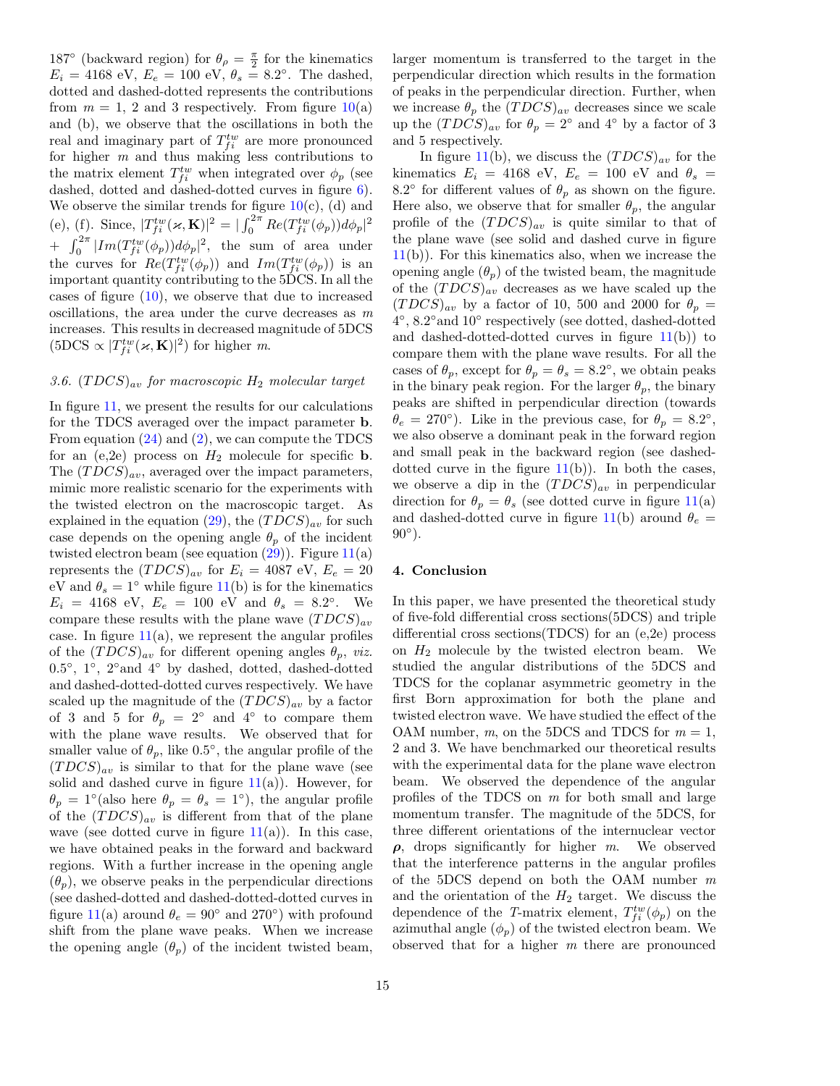187° (backward region) for  $\theta_{\rho} = \frac{\pi}{2}$  for the kinematics  $E_i = 4168 \text{ eV}, E_e = 100 \text{ eV}, \theta_s = 8.2^{\circ}.$  The dashed, dotted and dashed-dotted represents the contributions from  $m = 1$ , 2 and 3 respectively. From figure  $10(a)$  $10(a)$ and (b), we observe that the oscillations in both the real and imaginary part of  $T_{f_i}^{tw}$  are more pronounced for higher  $m$  and thus making less contributions to the matrix element  $T_{fi}^{tw}$  when integrated over  $\phi_p$  (see dashed, dotted and dashed-dotted curves in figure [6\)](#page-8-0). We observe the similar trends for figure  $10(c)$  $10(c)$ , (d) and (e), (f). Since,  $|T_{fi}^{tw}(\varkappa, \mathbf{K})|^2 = |\int_0^{2\pi} Re(T_{fi}^{tw}(\phi_p))d\phi_p|^2$ +  $\int_0^{2\pi} |Im(T_{fi}^{tw}(\phi_p))d\phi_p|^2$ , the sum of area under the curves for  $Re(T_{f_i}^{tw}(\phi_p))$  and  $Im(T_{f_i}^{tw}(\phi_p))$  is an important quantity contributing to the 5DCS. In all the cases of figure  $(10)$ , we observe that due to increased oscillations, the area under the curve decreases as  $m$ increases. This results in decreased magnitude of 5DCS  $(5DCS \propto |T_{fi}^{tw}(\varkappa, \mathbf{K})|^2)$  for higher m.

## 3.6.  $(TDCS)_{av}$  for macroscopic  $H_2$  molecular target

In figure [11,](#page-13-0) we present the results for our calculations for the TDCS averaged over the impact parameter b. From equation [\(24\)](#page-4-4) and [\(2\)](#page-2-2), we can compute the TDCS for an  $(e,2e)$  process on  $H_2$  molecule for specific **b**. The  $(TDCS)_{av}$ , averaged over the impact parameters, mimic more realistic scenario for the experiments with the twisted electron on the macroscopic target. As explained in the equation [\(29\)](#page-5-0), the  $(TDCS)_{av}$  for such case depends on the opening angle  $\theta_p$  of the incident twisted electron beam (see equation  $(29)$ ). Figure  $11(a)$  $11(a)$ represents the  $(TDCS)_{av}$  for  $E_i = 4087$  eV,  $E_e = 20$ eV and  $\theta_s = 1^\circ$  while figure [11\(](#page-13-0)b) is for the kinematics  $E_i = 4168 \text{ eV}, E_e = 100 \text{ eV} \text{ and } \theta_s = 8.2^{\circ}.$  We compare these results with the plane wave  $(TDCS)_{av}$ case. In figure  $11(a)$  $11(a)$ , we represent the angular profiles of the  $(TDCS)_{av}$  for different opening angles  $\theta_p$ , *viz.* 0.5◦ , 1◦ , 2◦and 4◦ by dashed, dotted, dashed-dotted and dashed-dotted-dotted curves respectively. We have scaled up the magnitude of the  $(TDCS)_{av}$  by a factor of 3 and 5 for  $\theta_p = 2^{\circ}$  and 4<sup>°</sup> to compare them with the plane wave results. We observed that for smaller value of  $\theta_p$ , like 0.5°, the angular profile of the  $(TDCS)_{av}$  is similar to that for the plane wave (see solid and dashed curve in figure  $11(a)$  $11(a)$ ). However, for  $\theta_p = 1^{\circ}$  (also here  $\theta_p = \theta_s = 1^{\circ}$ ), the angular profile of the  $(TDCS)_{av}$  is different from that of the plane wave (see dotted curve in figure  $11(a)$  $11(a)$ ). In this case, we have obtained peaks in the forward and backward regions. With a further increase in the opening angle  $(\theta_p)$ , we observe peaks in the perpendicular directions (see dashed-dotted and dashed-dotted-dotted curves in figure [11\(](#page-13-0)a) around  $\theta_e = 90^\circ$  and 270°) with profound shift from the plane wave peaks. When we increase the opening angle  $(\theta_n)$  of the incident twisted beam,

larger momentum is transferred to the target in the perpendicular direction which results in the formation of peaks in the perpendicular direction. Further, when we increase  $\theta_p$  the  $(TDCS)_{av}$  decreases since we scale up the  $(TDCS)_{av}$  for  $\theta_p = 2^{\circ}$  and  $4^{\circ}$  by a factor of 3 and 5 respectively.

In figure [11\(](#page-13-0)b), we discuss the  $(TDCS)_{av}$  for the kinematics  $E_i = 4168$  eV,  $E_e = 100$  eV and  $\theta_s =$ 8.2° for different values of  $\theta_p$  as shown on the figure. Here also, we observe that for smaller  $\theta_p$ , the angular profile of the  $(TDCS)_{av}$  is quite similar to that of the plane wave (see solid and dashed curve in figure  $11(b)$  $11(b)$ ). For this kinematics also, when we increase the opening angle  $(\theta_p)$  of the twisted beam, the magnitude of the  $(TDCS)_{av}$  decreases as we have scaled up the  $(TDCS)_{av}$  by a factor of 10, 500 and 2000 for  $\theta_p =$ 4 ◦ , 8.2◦and 10◦ respectively (see dotted, dashed-dotted and dashed-dotted-dotted curves in figure  $11(b)$  $11(b)$  to compare them with the plane wave results. For all the cases of  $\theta_p$ , except for  $\theta_p = \theta_s = 8.2^\circ$ , we obtain peaks in the binary peak region. For the larger  $\theta_p$ , the binary peaks are shifted in perpendicular direction (towards  $\theta_e = 270^\circ$ ). Like in the previous case, for  $\theta_p = 8.2^\circ$ , we also observe a dominant peak in the forward region and small peak in the backward region (see dasheddotted curve in the figure  $11(b)$  $11(b)$ ). In both the cases, we observe a dip in the  $(TDCS)_{av}$  in perpendicular direction for  $\theta_p = \theta_s$  (see dotted curve in figure [11\(](#page-13-0)a) and dashed-dotted curve in figure [11\(](#page-13-0)b) around  $\theta_e =$  $90^{\circ}$ ).

#### <span id="page-14-0"></span>4. Conclusion

In this paper, we have presented the theoretical study of five-fold differential cross sections(5DCS) and triple differential cross sections(TDCS) for an (e,2e) process on  $H_2$  molecule by the twisted electron beam. We studied the angular distributions of the 5DCS and TDCS for the coplanar asymmetric geometry in the first Born approximation for both the plane and twisted electron wave. We have studied the effect of the OAM number,  $m$ , on the 5DCS and TDCS for  $m = 1$ , 2 and 3. We have benchmarked our theoretical results with the experimental data for the plane wave electron beam. We observed the dependence of the angular profiles of the TDCS on m for both small and large momentum transfer. The magnitude of the 5DCS, for three different orientations of the internuclear vector  $\rho$ , drops significantly for higher m. We observed that the interference patterns in the angular profiles of the 5DCS depend on both the OAM number m and the orientation of the  $H_2$  target. We discuss the dependence of the T-matrix element,  $T_{fi}^{tw}(\phi_p)$  on the azimuthal angle  $(\phi_n)$  of the twisted electron beam. We observed that for a higher  $m$  there are pronounced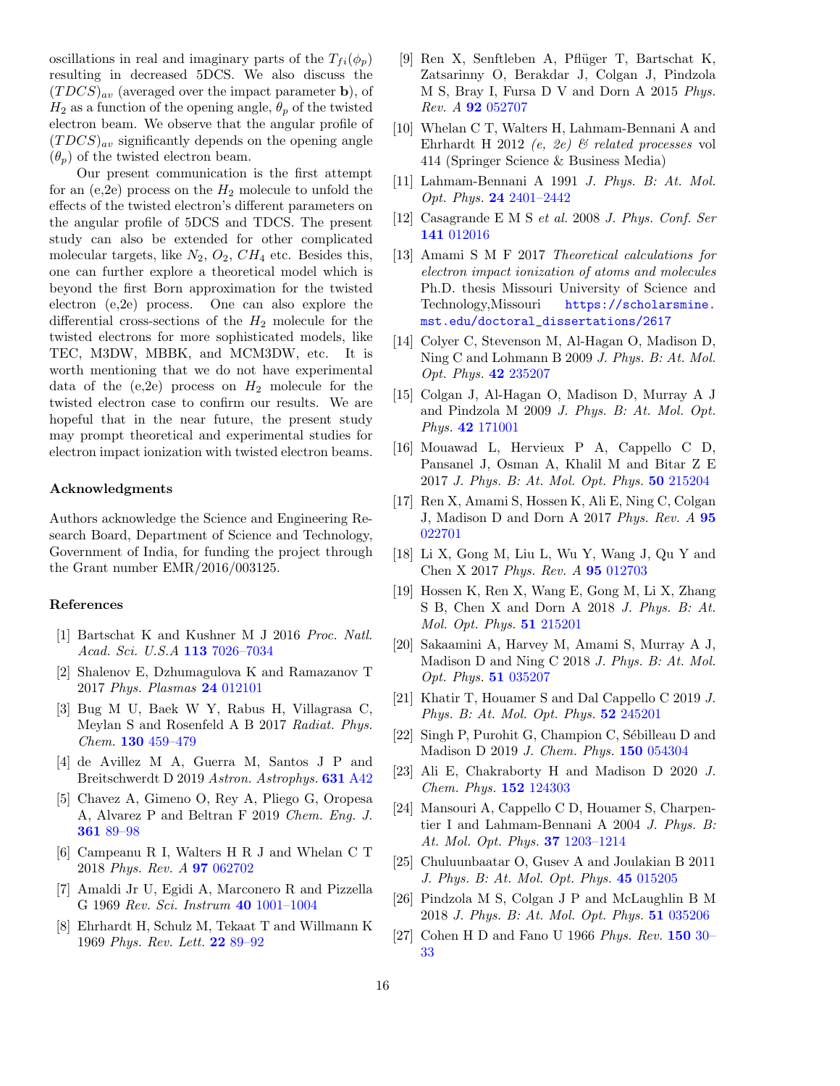oscillations in real and imaginary parts of the  $T_{fi}(\phi_p)$ resulting in decreased 5DCS. We also discuss the  $(TDCS)_{av}$  (averaged over the impact parameter b), of  $H_2$  as a function of the opening angle,  $\theta_p$  of the twisted electron beam. We observe that the angular profile of  $(TDCS)_{av}$  significantly depends on the opening angle  $(\theta_p)$  of the twisted electron beam.

Our present communication is the first attempt for an (e,2e) process on the  $H_2$  molecule to unfold the effects of the twisted electron's different parameters on the angular profile of 5DCS and TDCS. The present study can also be extended for other complicated molecular targets, like  $N_2$ ,  $O_2$ ,  $CH_4$  etc. Besides this, one can further explore a theoretical model which is beyond the first Born approximation for the twisted electron (e,2e) process. One can also explore the differential cross-sections of the  $H_2$  molecule for the twisted electrons for more sophisticated models, like TEC, M3DW, MBBK, and MCM3DW, etc. It is worth mentioning that we do not have experimental data of the  $(e,2e)$  process on  $H_2$  molecule for the twisted electron case to confirm our results. We are hopeful that in the near future, the present study may prompt theoretical and experimental studies for electron impact ionization with twisted electron beams.

## Acknowledgments

Authors acknowledge the Science and Engineering Research Board, Department of Science and Technology, Government of India, for funding the project through the Grant number EMR/2016/003125.

#### References

- <span id="page-15-0"></span>[1] Bartschat K and Kushner M J 2016 Proc. Natl. Acad. Sci. U.S.A 113 7026-7034
- [2] Shalenov E, Dzhumagulova K and Ramazanov T 2017 Phys. Plasmas 24 [012101](http://dx.doi.org/https://doi.org/10.1063/1.4973324)
- [3] Bug M U, Baek W Y, Rabus H, Villagrasa C, Meylan S and Rosenfeld A B 2017 Radiat. Phys. Chem. 130 [459–479](http://dx.doi.org/https://doi.org/10.1016/j.radphyschem.2016.09.027)
- [4] de Avillez M A, Guerra M, Santos J P and Breitschwerdt D 2019 Astron. Astrophys. 631 [A42](http://dx.doi.org/https://doi.org/10.1051/0004-6361/201935337)
- <span id="page-15-1"></span>[5] Chavez A, Gimeno O, Rey A, Pliego G, Oropesa A, Alvarez P and Beltran F 2019 Chem. Eng. J. 361 [89–98](http://dx.doi.org/https://doi.org/10.1016/j.cej.2018.12.064)
- <span id="page-15-2"></span>[6] Campeanu R I, Walters H R J and Whelan C T 2018 Phys. Rev. A 97 [062702](http://dx.doi.org/10.1103/PhysRevA.97.062702)
- <span id="page-15-3"></span>[7] Amaldi Jr U, Egidi A, Marconero R and Pizzella G 1969 Rev. Sci. Instrum 40 [1001–1004](http://dx.doi.org/https://doi.org/10.1063/1.1684135)
- <span id="page-15-4"></span>[8] Ehrhardt H, Schulz M, Tekaat T and Willmann K 1969 Phys. Rev. Lett. 22 [89–92](http://dx.doi.org/10.1103/PhysRevLett.22.89)
- <span id="page-15-5"></span>[9] Ren X, Senftleben A, Pfl¨uger T, Bartschat K, Zatsarinny O, Berakdar J, Colgan J, Pindzola M S, Bray I, Fursa D V and Dorn A 2015 Phys. Rev. A 92 [052707](http://dx.doi.org/10.1103/PhysRevA.92.052707)
- [10] Whelan C T, Walters H, Lahmam-Bennani A and Ehrhardt H 2012 (e, 2e) & related processes vol 414 (Springer Science & Business Media)
- [11] Lahmam-Bennani A 1991 J. Phys. B: At. Mol. Opt. Phys. 24 [2401–2442](http://dx.doi.org/10.1088/0953-4075/24/10/001)
- [12] Casagrande E M S et al. 2008 J. Phys. Conf. Ser 141 [012016](http://dx.doi.org/10.1088/1742-6596/141/1/012016)
- <span id="page-15-6"></span>[13] Amami S M F 2017 Theoretical calculations for electron impact ionization of atoms and molecules Ph.D. thesis Missouri University of Science and Technology,Missouri [https://scholarsmine.](https://scholarsmine.mst.edu/doctoral_dissertations/2617) [mst.edu/doctoral\\_dissertations/2617](https://scholarsmine.mst.edu/doctoral_dissertations/2617)
- <span id="page-15-7"></span>[14] Colyer C, Stevenson M, Al-Hagan O, Madison D, Ning C and Lohmann B 2009 J. Phys. B: At. Mol. Opt. Phys. 42 [235207](http://dx.doi.org/https://doi.org/10.1088/0953-4075/42/23/235207)
- <span id="page-15-8"></span>[15] Colgan J, Al-Hagan O, Madison D, Murray A J and Pindzola M 2009 J. Phys. B: At. Mol. Opt. Phys. 42 [171001](http://dx.doi.org/https://doi.org/10.1088/0953-4075/42/17/171001)
- [16] Mouawad L, Hervieux P A, Cappello C D, Pansanel J, Osman A, Khalil M and Bitar Z E 2017 J. Phys. B: At. Mol. Opt. Phys. 50 [215204](http://dx.doi.org/10.1088/1361-6455/aa8cb9)
- [17] Ren X, Amami S, Hossen K, Ali E, Ning C, Colgan J, Madison D and Dorn A 2017 Phys. Rev. A [95](http://dx.doi.org/10.1103/PhysRevA.95.022701) [022701](http://dx.doi.org/10.1103/PhysRevA.95.022701)
- [18] Li X, Gong M, Liu L, Wu Y, Wang J, Qu Y and Chen X 2017 Phys. Rev. A 95 [012703](http://dx.doi.org/10.1103/PhysRevA.95.012703)
- [19] Hossen K, Ren X, Wang E, Gong M, Li X, Zhang S B, Chen X and Dorn A 2018 J. Phys. B: At. Mol. Opt. Phys. 51 [215201](http://dx.doi.org/https://doi.org/10.1088/1361-6455/aae0ab)
- [20] Sakaamini A, Harvey M, Amami S, Murray A J, Madison D and Ning C 2018 J. Phys. B: At. Mol. Opt. Phys. 51 [035207](http://dx.doi.org/https://doi.org/10.1088/1361-6455/aa9eb9)
- [21] Khatir T, Houamer S and Dal Cappello C 2019 J. Phys. B: At. Mol. Opt. Phys. **52** [245201](http://dx.doi.org/https://doi.org/10.1088/1361-6455/ab4a70)
- [22] Singh P, Purohit G, Champion C, Sébilleau D and Madison D 2019 J. Chem. Phys. 150 [054304](http://dx.doi.org/https://doi.org/10.1063/1.5088966)
- <span id="page-15-9"></span>[23] Ali E, Chakraborty H and Madison D 2020 J. Chem. Phys. 152 [124303](http://dx.doi.org/https://doi.org/10.1063/1.5143148)
- <span id="page-15-10"></span>[24] Mansouri A, Cappello C D, Houamer S, Charpentier I and Lahmam-Bennani A 2004 J. Phys. B: At. Mol. Opt. Phys. 37 [1203–1214](http://dx.doi.org/10.1088/0953-4075/37/6/006)
- [25] Chuluunbaatar O, Gusev A and Joulakian B 2011 J. Phys. B: At. Mol. Opt. Phys. 45 [015205](http://dx.doi.org/https://doi.org/10.1088/0953-4075/45/1/015205)
- <span id="page-15-11"></span>[26] Pindzola M S, Colgan J P and McLaughlin B M 2018 J. Phys. B: At. Mol. Opt. Phys. 51 [035206](http://dx.doi.org/https://doi.org/10.1088/1361-6455/aaa2d2)
- <span id="page-15-12"></span>[27] Cohen H D and Fano U 1966 Phys. Rev. [150](http://dx.doi.org/10.1103/PhysRev.150.30) 30– [33](http://dx.doi.org/10.1103/PhysRev.150.30)